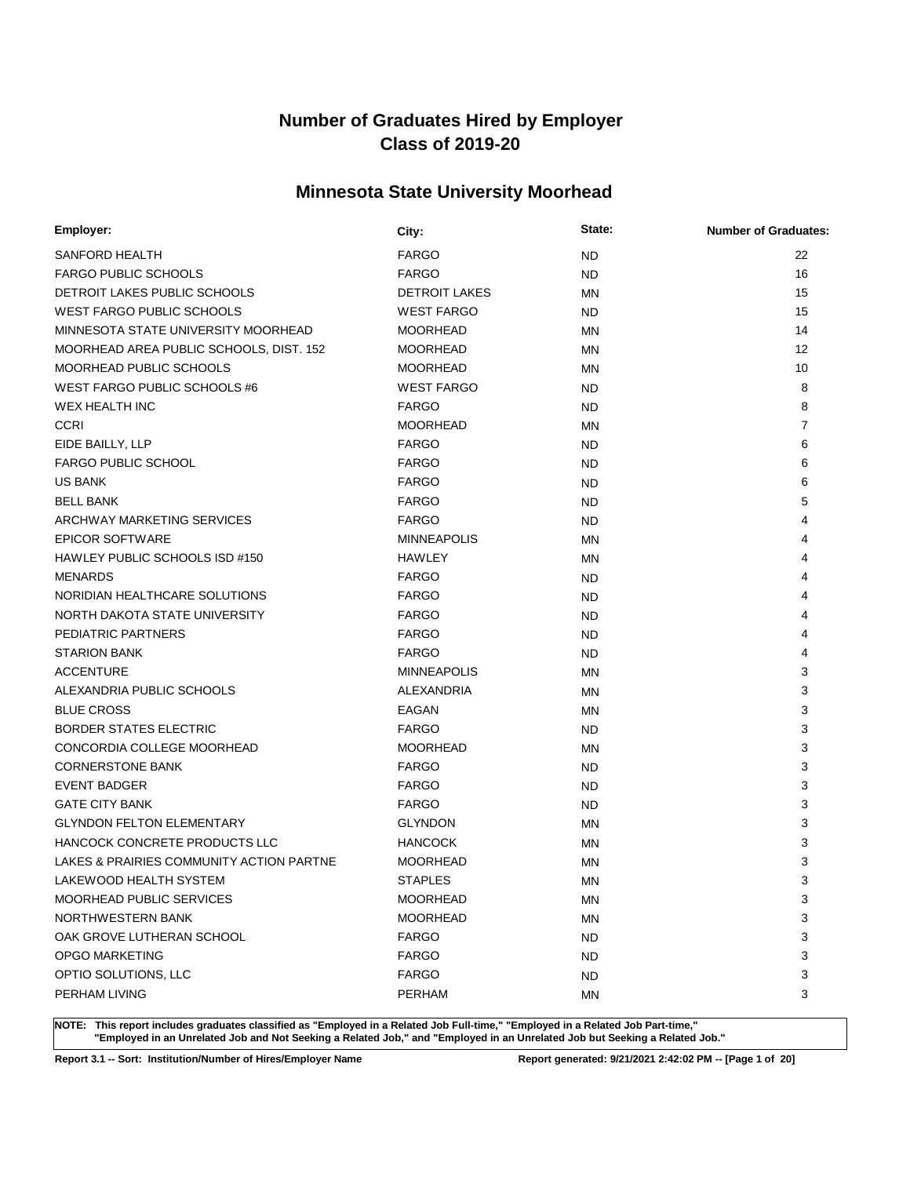## **Minnesota State University Moorhead**

| Employer:                                | City:                | State:    | <b>Number of Graduates:</b> |
|------------------------------------------|----------------------|-----------|-----------------------------|
| SANFORD HEALTH                           | <b>FARGO</b>         | <b>ND</b> | 22                          |
| <b>FARGO PUBLIC SCHOOLS</b>              | <b>FARGO</b>         | <b>ND</b> | 16                          |
| DETROIT LAKES PUBLIC SCHOOLS             | <b>DETROIT LAKES</b> | MN        | 15                          |
| <b>WEST FARGO PUBLIC SCHOOLS</b>         | <b>WEST FARGO</b>    | <b>ND</b> | 15                          |
| MINNESOTA STATE UNIVERSITY MOORHEAD      | <b>MOORHEAD</b>      | MN        | 14                          |
| MOORHEAD AREA PUBLIC SCHOOLS, DIST. 152  | <b>MOORHEAD</b>      | <b>MN</b> | $12 \overline{ }$           |
| <b>MOORHEAD PUBLIC SCHOOLS</b>           | <b>MOORHEAD</b>      | MN        | 10                          |
| WEST FARGO PUBLIC SCHOOLS #6             | <b>WEST FARGO</b>    | ND        | 8                           |
| WEX HEALTH INC                           | <b>FARGO</b>         | ND.       | 8                           |
| <b>CCRI</b>                              | <b>MOORHEAD</b>      | ΜN        | $\overline{7}$              |
| EIDE BAILLY, LLP                         | <b>FARGO</b>         | <b>ND</b> | 6                           |
| <b>FARGO PUBLIC SCHOOL</b>               | <b>FARGO</b>         | <b>ND</b> | 6                           |
| <b>US BANK</b>                           | <b>FARGO</b>         | <b>ND</b> | 6                           |
| <b>BELL BANK</b>                         | <b>FARGO</b>         | <b>ND</b> | 5                           |
| ARCHWAY MARKETING SERVICES               | <b>FARGO</b>         | <b>ND</b> | 4                           |
| <b>EPICOR SOFTWARE</b>                   | <b>MINNEAPOLIS</b>   | MN        | 4                           |
| HAWLEY PUBLIC SCHOOLS ISD #150           | HAWLEY               | MN        | 4                           |
| <b>MENARDS</b>                           | <b>FARGO</b>         | <b>ND</b> | 4                           |
| NORIDIAN HEALTHCARE SOLUTIONS            | <b>FARGO</b>         | <b>ND</b> | 4                           |
| NORTH DAKOTA STATE UNIVERSITY            | <b>FARGO</b>         | <b>ND</b> | 4                           |
| PEDIATRIC PARTNERS                       | <b>FARGO</b>         | <b>ND</b> | 4                           |
| <b>STARION BANK</b>                      | <b>FARGO</b>         | <b>ND</b> | 4                           |
| <b>ACCENTURE</b>                         | <b>MINNEAPOLIS</b>   | MN        | 3                           |
| ALEXANDRIA PUBLIC SCHOOLS                | ALEXANDRIA           | MN        | 3                           |
| <b>BLUE CROSS</b>                        | EAGAN                | MN        | 3                           |
| <b>BORDER STATES ELECTRIC</b>            | <b>FARGO</b>         | <b>ND</b> | 3                           |
| CONCORDIA COLLEGE MOORHEAD               | <b>MOORHEAD</b>      | MN        | 3                           |
| <b>CORNERSTONE BANK</b>                  | <b>FARGO</b>         | ND.       | 3                           |
| <b>EVENT BADGER</b>                      | <b>FARGO</b>         | <b>ND</b> | 3                           |
| <b>GATE CITY BANK</b>                    | <b>FARGO</b>         | <b>ND</b> | 3                           |
| <b>GLYNDON FELTON ELEMENTARY</b>         | <b>GLYNDON</b>       | MN        | 3                           |
| HANCOCK CONCRETE PRODUCTS LLC            | <b>HANCOCK</b>       | ΜN        | 3                           |
| LAKES & PRAIRIES COMMUNITY ACTION PARTNE | <b>MOORHEAD</b>      | MN        | 3                           |
| LAKEWOOD HEALTH SYSTEM                   | <b>STAPLES</b>       | <b>MN</b> | 3                           |
| MOORHEAD PUBLIC SERVICES                 | <b>MOORHEAD</b>      | ΜN        | 3                           |
| NORTHWESTERN BANK                        | <b>MOORHEAD</b>      | <b>MN</b> | 3                           |
| OAK GROVE LUTHERAN SCHOOL                | <b>FARGO</b>         | <b>ND</b> | 3                           |
| OPGO MARKETING                           | <b>FARGO</b>         | <b>ND</b> | 3                           |
| OPTIO SOLUTIONS, LLC                     | <b>FARGO</b>         | <b>ND</b> | 3                           |
| PERHAM LIVING                            | <b>PERHAM</b>        | ΜN        | 3                           |

**NOTE: This report includes graduates classified as "Employed in a Related Job Full-time," "Employed in a Related Job Part-time," "Employed in an Unrelated Job and Not Seeking a Related Job," and "Employed in an Unrelated Job but Seeking a Related Job."**

**Report 3.1 -- Sort: Institution/Number of Hires/Employer Name Report generated: 9/21/2021 2:42:02 PM -- [Page 1 of 20]**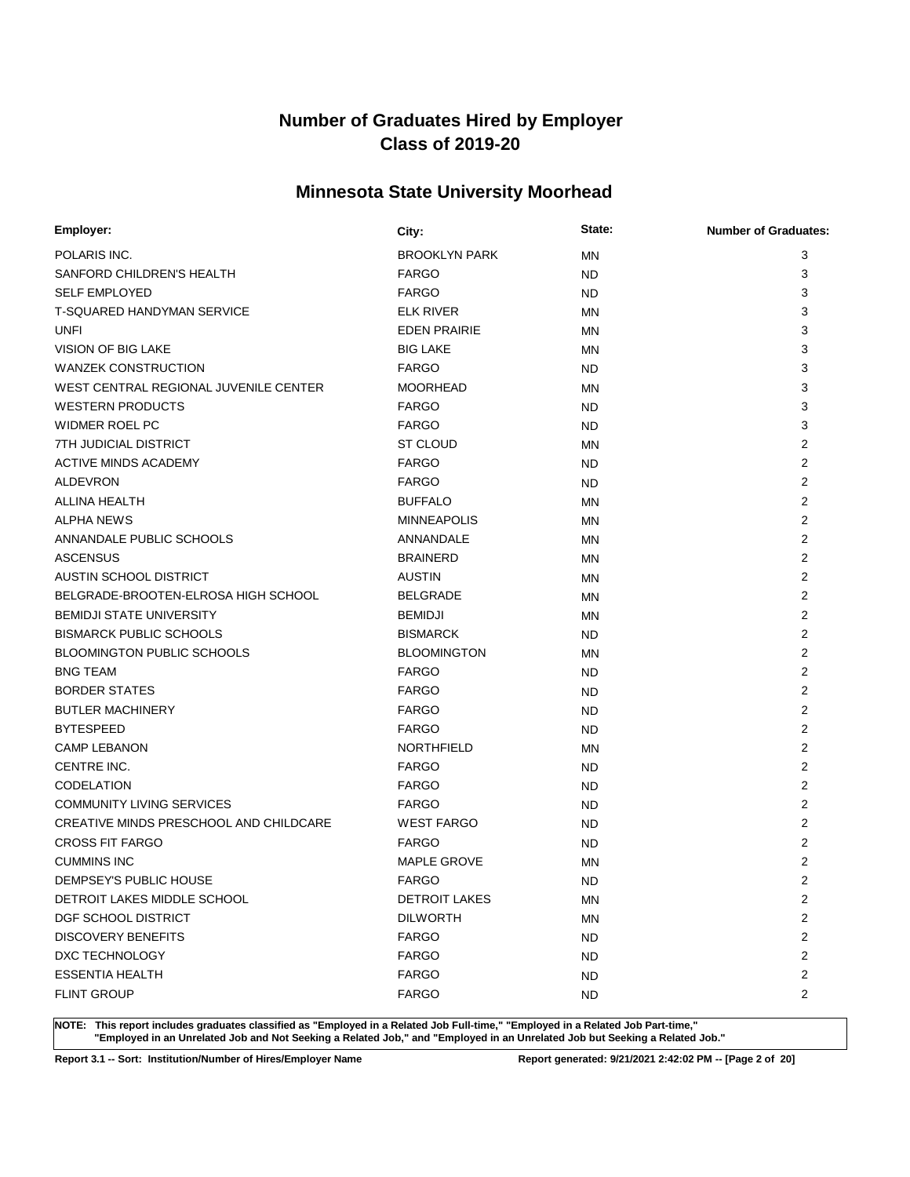## **Minnesota State University Moorhead**

| Employer:                              | City:                | State:    | <b>Number of Graduates:</b> |
|----------------------------------------|----------------------|-----------|-----------------------------|
| POLARIS INC.                           | <b>BROOKLYN PARK</b> | MN        | 3                           |
| SANFORD CHILDREN'S HEALTH              | <b>FARGO</b>         | <b>ND</b> | 3                           |
| <b>SELF EMPLOYED</b>                   | <b>FARGO</b>         | <b>ND</b> | 3                           |
| T-SQUARED HANDYMAN SERVICE             | <b>ELK RIVER</b>     | MN        | 3                           |
| <b>UNFI</b>                            | <b>EDEN PRAIRIE</b>  | MN        | 3                           |
| <b>VISION OF BIG LAKE</b>              | <b>BIG LAKE</b>      | ΜN        | 3                           |
| <b>WANZEK CONSTRUCTION</b>             | <b>FARGO</b>         | <b>ND</b> | 3                           |
| WEST CENTRAL REGIONAL JUVENILE CENTER  | <b>MOORHEAD</b>      | ΜN        | 3                           |
| <b>WESTERN PRODUCTS</b>                | <b>FARGO</b>         | <b>ND</b> | 3                           |
| WIDMER ROEL PC                         | <b>FARGO</b>         | <b>ND</b> | 3                           |
| 7TH JUDICIAL DISTRICT                  | <b>ST CLOUD</b>      | MN        | 2                           |
| <b>ACTIVE MINDS ACADEMY</b>            | <b>FARGO</b>         | <b>ND</b> | 2                           |
| <b>ALDEVRON</b>                        | <b>FARGO</b>         | <b>ND</b> | $\overline{2}$              |
| ALLINA HEALTH                          | <b>BUFFALO</b>       | ΜN        | 2                           |
| <b>ALPHA NEWS</b>                      | <b>MINNEAPOLIS</b>   | ΜN        | $\overline{2}$              |
| ANNANDALE PUBLIC SCHOOLS               | ANNANDALE            | ΜN        | 2                           |
| <b>ASCENSUS</b>                        | <b>BRAINERD</b>      | ΜN        | $\overline{2}$              |
| <b>AUSTIN SCHOOL DISTRICT</b>          | <b>AUSTIN</b>        | ΜN        | 2                           |
| BELGRADE-BROOTEN-ELROSA HIGH SCHOOL    | <b>BELGRADE</b>      | MN        | $\overline{2}$              |
| <b>BEMIDJI STATE UNIVERSITY</b>        | <b>BEMIDJI</b>       | ΜN        | 2                           |
| <b>BISMARCK PUBLIC SCHOOLS</b>         | <b>BISMARCK</b>      | <b>ND</b> | $\overline{2}$              |
| <b>BLOOMINGTON PUBLIC SCHOOLS</b>      | <b>BLOOMINGTON</b>   | ΜN        | $\overline{2}$              |
| <b>BNG TEAM</b>                        | <b>FARGO</b>         | <b>ND</b> | $\overline{2}$              |
| <b>BORDER STATES</b>                   | <b>FARGO</b>         | <b>ND</b> | $\overline{2}$              |
| <b>BUTLER MACHINERY</b>                | <b>FARGO</b>         | <b>ND</b> | $\overline{2}$              |
| <b>BYTESPEED</b>                       | <b>FARGO</b>         | <b>ND</b> | 2                           |
| <b>CAMP LEBANON</b>                    | <b>NORTHFIELD</b>    | MN        | $\overline{2}$              |
| CENTRE INC.                            | <b>FARGO</b>         | ND.       | 2                           |
| <b>CODELATION</b>                      | <b>FARGO</b>         | <b>ND</b> | $\overline{2}$              |
| <b>COMMUNITY LIVING SERVICES</b>       | <b>FARGO</b>         | <b>ND</b> | 2                           |
| CREATIVE MINDS PRESCHOOL AND CHILDCARE | <b>WEST FARGO</b>    | <b>ND</b> | 2                           |
| <b>CROSS FIT FARGO</b>                 | <b>FARGO</b>         | <b>ND</b> | 2                           |
| <b>CUMMINS INC</b>                     | <b>MAPLE GROVE</b>   | <b>MN</b> | 2                           |
| DEMPSEY'S PUBLIC HOUSE                 | <b>FARGO</b>         | <b>ND</b> | $\overline{2}$              |
| DETROIT LAKES MIDDLE SCHOOL            | <b>DETROIT LAKES</b> | ΜN        | 2                           |
| DGF SCHOOL DISTRICT                    | <b>DILWORTH</b>      | ΜN        | 2                           |
| <b>DISCOVERY BENEFITS</b>              | <b>FARGO</b>         | <b>ND</b> | 2                           |
| DXC TECHNOLOGY                         | <b>FARGO</b>         | <b>ND</b> | 2                           |
| <b>ESSENTIA HEALTH</b>                 | <b>FARGO</b>         | <b>ND</b> | 2                           |
| <b>FLINT GROUP</b>                     | <b>FARGO</b>         | ND.       | $\overline{2}$              |

**NOTE: This report includes graduates classified as "Employed in a Related Job Full-time," "Employed in a Related Job Part-time," "Employed in an Unrelated Job and Not Seeking a Related Job," and "Employed in an Unrelated Job but Seeking a Related Job."**

**Report 3.1 -- Sort: Institution/Number of Hires/Employer Name Report generated: 9/21/2021 2:42:02 PM -- [Page 2 of 20]**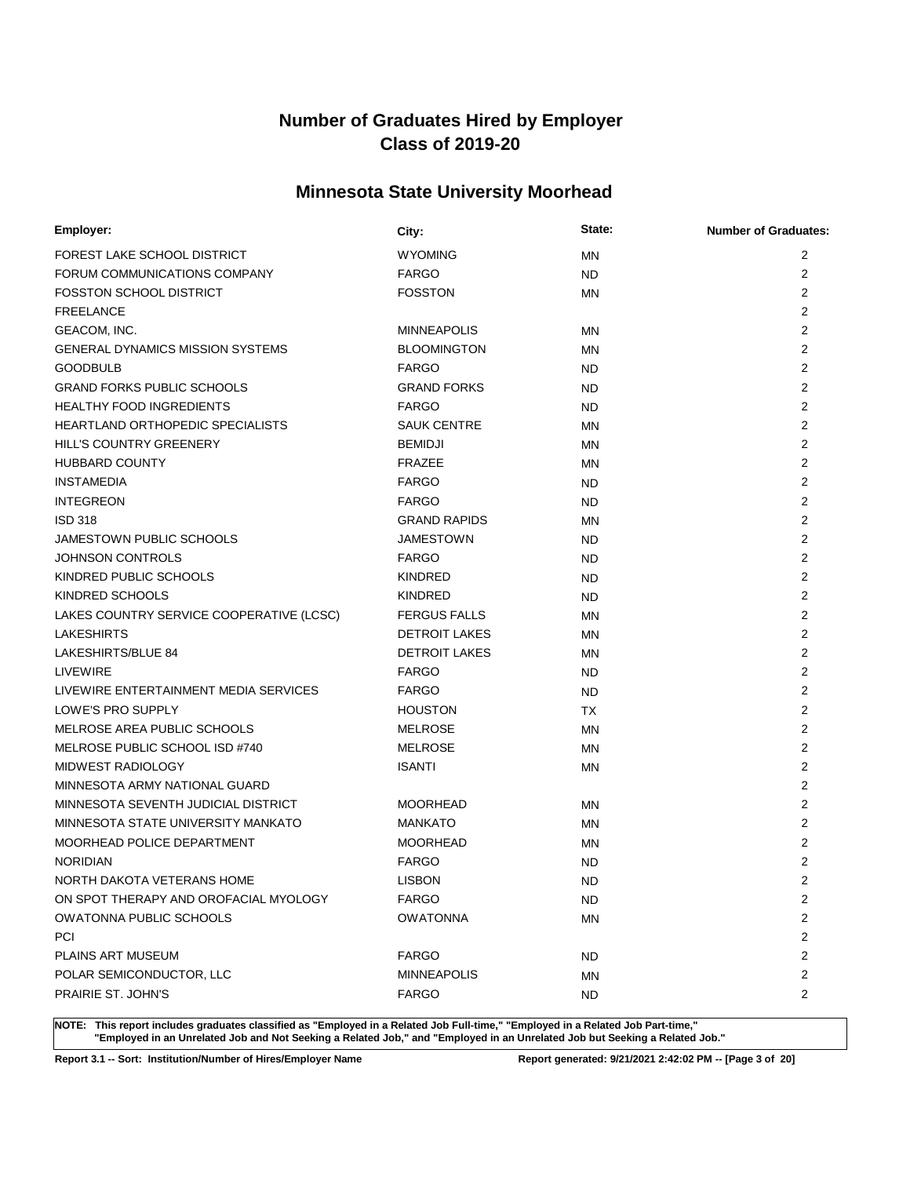## **Minnesota State University Moorhead**

| Employer:                                | City:                | State:    | <b>Number of Graduates:</b> |
|------------------------------------------|----------------------|-----------|-----------------------------|
| FOREST LAKE SCHOOL DISTRICT              | <b>WYOMING</b>       | <b>MN</b> | 2                           |
| FORUM COMMUNICATIONS COMPANY             | <b>FARGO</b>         | <b>ND</b> | $\overline{2}$              |
| <b>FOSSTON SCHOOL DISTRICT</b>           | <b>FOSSTON</b>       | MN        | $\overline{2}$              |
| <b>FREELANCE</b>                         |                      |           | 2                           |
| GEACOM, INC.                             | <b>MINNEAPOLIS</b>   | ΜN        | $\overline{2}$              |
| GENERAL DYNAMICS MISSION SYSTEMS         | <b>BLOOMINGTON</b>   | MN        | $\overline{2}$              |
| <b>GOODBULB</b>                          | <b>FARGO</b>         | ND        | 2                           |
| <b>GRAND FORKS PUBLIC SCHOOLS</b>        | <b>GRAND FORKS</b>   | ND        | $\overline{2}$              |
| <b>HEALTHY FOOD INGREDIENTS</b>          | <b>FARGO</b>         | ND        | $\overline{2}$              |
| <b>HEARTLAND ORTHOPEDIC SPECIALISTS</b>  | <b>SAUK CENTRE</b>   | MN        | $\overline{2}$              |
| HILL'S COUNTRY GREENERY                  | <b>BEMIDJI</b>       | MN        | $\overline{2}$              |
| HUBBARD COUNTY                           | <b>FRAZEE</b>        | <b>MN</b> | $\overline{2}$              |
| <b>INSTAMEDIA</b>                        | <b>FARGO</b>         | ND        | $\overline{2}$              |
| <b>INTEGREON</b>                         | <b>FARGO</b>         | <b>ND</b> | $\overline{2}$              |
| <b>ISD 318</b>                           | <b>GRAND RAPIDS</b>  | MN        | $\overline{2}$              |
| JAMESTOWN PUBLIC SCHOOLS                 | <b>JAMESTOWN</b>     | ND        | $\overline{2}$              |
| <b>JOHNSON CONTROLS</b>                  | <b>FARGO</b>         | <b>ND</b> | $\overline{2}$              |
| KINDRED PUBLIC SCHOOLS                   | <b>KINDRED</b>       | ND        | $\overline{2}$              |
| KINDRED SCHOOLS                          | <b>KINDRED</b>       | ND        | $\overline{2}$              |
| LAKES COUNTRY SERVICE COOPERATIVE (LCSC) | <b>FERGUS FALLS</b>  | <b>MN</b> | $\overline{2}$              |
| <b>LAKESHIRTS</b>                        | <b>DETROIT LAKES</b> | MN        | $\overline{2}$              |
| LAKESHIRTS/BLUE 84                       | <b>DETROIT LAKES</b> | MN        | $\overline{2}$              |
| <b>LIVEWIRE</b>                          | <b>FARGO</b>         | ND        | $\overline{2}$              |
| LIVEWIRE ENTERTAINMENT MEDIA SERVICES    | <b>FARGO</b>         | ND        | $\overline{2}$              |
| LOWE'S PRO SUPPLY                        | <b>HOUSTON</b>       | <b>TX</b> | $\overline{2}$              |
| MELROSE AREA PUBLIC SCHOOLS              | <b>MELROSE</b>       | <b>MN</b> | $\overline{2}$              |
| MELROSE PUBLIC SCHOOL ISD #740           | <b>MELROSE</b>       | MN        | $\overline{2}$              |
| MIDWEST RADIOLOGY                        | <b>ISANTI</b>        | <b>MN</b> | $\overline{2}$              |
| MINNESOTA ARMY NATIONAL GUARD            |                      |           | $\overline{2}$              |
| MINNESOTA SEVENTH JUDICIAL DISTRICT      | <b>MOORHEAD</b>      | MN        | $\overline{2}$              |
| MINNESOTA STATE UNIVERSITY MANKATO       | <b>MANKATO</b>       | MN        | $\overline{2}$              |
| MOORHEAD POLICE DEPARTMENT               | <b>MOORHEAD</b>      | <b>MN</b> | $\overline{2}$              |
| <b>NORIDIAN</b>                          | <b>FARGO</b>         | <b>ND</b> | $\overline{2}$              |
| NORTH DAKOTA VETERANS HOME               | <b>LISBON</b>        | <b>ND</b> | $\overline{2}$              |
| ON SPOT THERAPY AND OROFACIAL MYOLOGY    | <b>FARGO</b>         | ND        | 2                           |
| <b>OWATONNA PUBLIC SCHOOLS</b>           | <b>OWATONNA</b>      | <b>MN</b> | 2                           |
| PCI                                      |                      |           | $\overline{2}$              |
| PLAINS ART MUSEUM                        | <b>FARGO</b>         | ND        | 2                           |
| POLAR SEMICONDUCTOR, LLC                 | <b>MINNEAPOLIS</b>   | ΜN        | 2                           |
| PRAIRIE ST. JOHN'S                       | <b>FARGO</b>         | ND        | 2                           |

**NOTE: This report includes graduates classified as "Employed in a Related Job Full-time," "Employed in a Related Job Part-time," "Employed in an Unrelated Job and Not Seeking a Related Job," and "Employed in an Unrelated Job but Seeking a Related Job."**

**Report 3.1 -- Sort: Institution/Number of Hires/Employer Name Report generated: 9/21/2021 2:42:02 PM -- [Page 3 of 20]**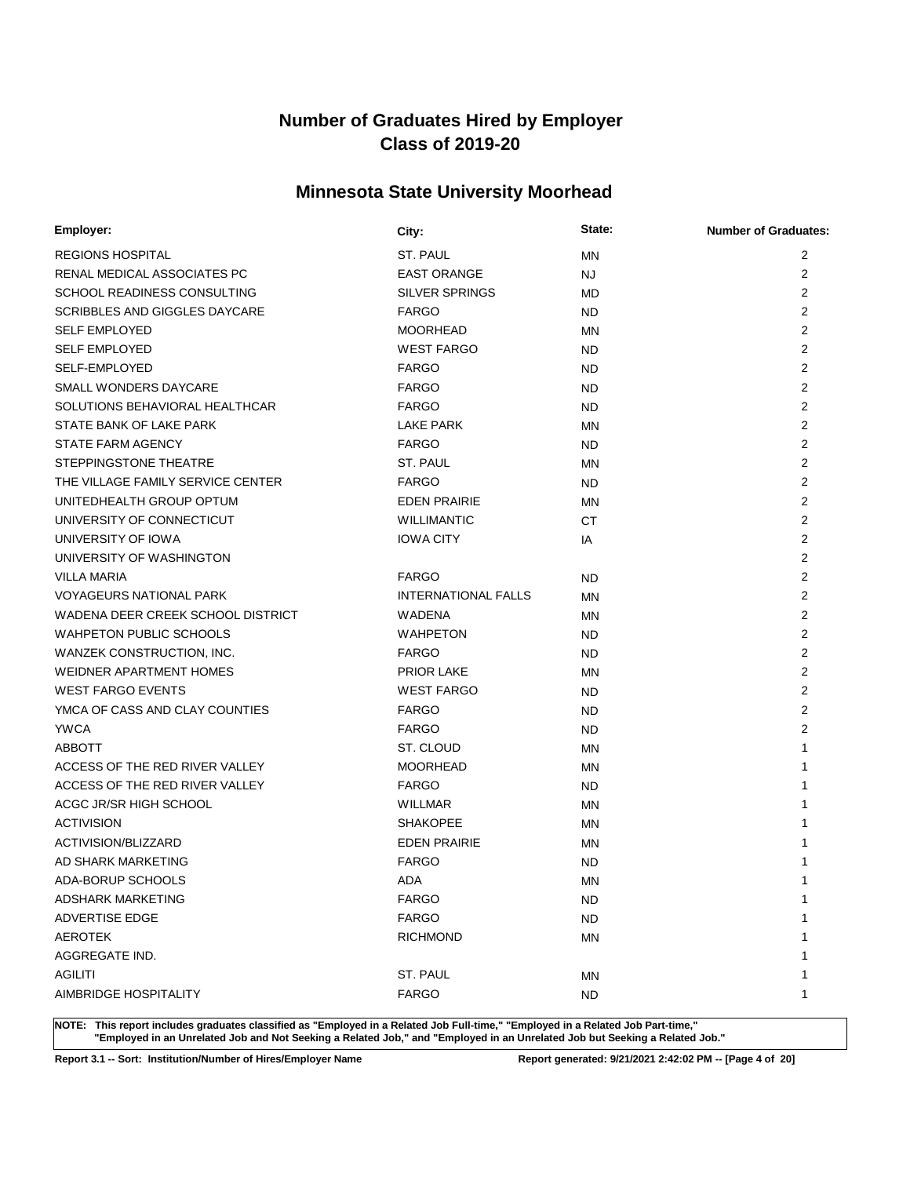## **Minnesota State University Moorhead**

| Employer:                         | City:                      | State:    | <b>Number of Graduates:</b> |
|-----------------------------------|----------------------------|-----------|-----------------------------|
| <b>REGIONS HOSPITAL</b>           | ST. PAUL                   | <b>MN</b> | 2                           |
| RENAL MEDICAL ASSOCIATES PC       | <b>EAST ORANGE</b>         | NJ.       | $\overline{2}$              |
| SCHOOL READINESS CONSULTING       | <b>SILVER SPRINGS</b>      | <b>MD</b> | $\overline{2}$              |
| SCRIBBLES AND GIGGLES DAYCARE     | <b>FARGO</b>               | <b>ND</b> | $\overline{2}$              |
| <b>SELF EMPLOYED</b>              | <b>MOORHEAD</b>            | <b>MN</b> | $\overline{2}$              |
| <b>SELF EMPLOYED</b>              | <b>WEST FARGO</b>          | ND.       | $\overline{2}$              |
| SELF-EMPLOYED                     | <b>FARGO</b>               | ND.       | $\overline{2}$              |
| SMALL WONDERS DAYCARE             | <b>FARGO</b>               | ND.       | $\overline{2}$              |
| SOLUTIONS BEHAVIORAL HEALTHCAR    | <b>FARGO</b>               | ND.       | $\overline{2}$              |
| STATE BANK OF LAKE PARK           | LAKE PARK                  | MN        | $\overline{2}$              |
| STATE FARM AGENCY                 | <b>FARGO</b>               | <b>ND</b> | $\overline{2}$              |
| STEPPINGSTONE THEATRE             | ST. PAUL                   | MN        | $\overline{2}$              |
| THE VILLAGE FAMILY SERVICE CENTER | <b>FARGO</b>               | <b>ND</b> | $\overline{2}$              |
| UNITEDHEALTH GROUP OPTUM          | <b>EDEN PRAIRIE</b>        | MN        | $\overline{2}$              |
| UNIVERSITY OF CONNECTICUT         | <b>WILLIMANTIC</b>         | <b>CT</b> | $\overline{2}$              |
| UNIVERSITY OF IOWA                | <b>IOWA CITY</b>           | IA        | $\overline{2}$              |
| UNIVERSITY OF WASHINGTON          |                            |           | $\overline{2}$              |
| <b>VILLA MARIA</b>                | <b>FARGO</b>               | <b>ND</b> | $\overline{2}$              |
| <b>VOYAGEURS NATIONAL PARK</b>    | <b>INTERNATIONAL FALLS</b> | ΜN        | $\overline{2}$              |
| WADENA DEER CREEK SCHOOL DISTRICT | <b>WADENA</b>              | MN        | 2                           |
| <b>WAHPETON PUBLIC SCHOOLS</b>    | <b>WAHPETON</b>            | <b>ND</b> | $\overline{2}$              |
| WANZEK CONSTRUCTION, INC.         | <b>FARGO</b>               | ND.       | 2                           |
| <b>WEIDNER APARTMENT HOMES</b>    | PRIOR LAKE                 | ΜN        | 2                           |
| <b>WEST FARGO EVENTS</b>          | <b>WEST FARGO</b>          | ND.       | 2                           |
| YMCA OF CASS AND CLAY COUNTIES    | <b>FARGO</b>               | <b>ND</b> | $\overline{2}$              |
| <b>YWCA</b>                       | <b>FARGO</b>               | <b>ND</b> | $\overline{2}$              |
| <b>ABBOTT</b>                     | ST. CLOUD                  | MN        | 1                           |
| ACCESS OF THE RED RIVER VALLEY    | <b>MOORHEAD</b>            | MN        | 1                           |
| ACCESS OF THE RED RIVER VALLEY    | <b>FARGO</b>               | <b>ND</b> | 1                           |
| ACGC JR/SR HIGH SCHOOL            | WILLMAR                    | MN        | 1                           |
| <b>ACTIVISION</b>                 | <b>SHAKOPEE</b>            | MN        | 1                           |
| ACTIVISION/BLIZZARD               | <b>EDEN PRAIRIE</b>        | <b>MN</b> | 1                           |
| AD SHARK MARKETING                | <b>FARGO</b>               | <b>ND</b> | 1                           |
| ADA-BORUP SCHOOLS                 | ADA                        | <b>MN</b> | 1                           |
| <b>ADSHARK MARKETING</b>          | <b>FARGO</b>               | <b>ND</b> | 1                           |
| ADVERTISE EDGE                    | <b>FARGO</b>               | <b>ND</b> | 1                           |
| <b>AEROTEK</b>                    | <b>RICHMOND</b>            | ΜN        | 1                           |
| AGGREGATE IND.                    |                            |           | 1                           |
| <b>AGILITI</b>                    | ST. PAUL                   | ΜN        | 1                           |
| AIMBRIDGE HOSPITALITY             | <b>FARGO</b>               | <b>ND</b> | 1                           |

**NOTE: This report includes graduates classified as "Employed in a Related Job Full-time," "Employed in a Related Job Part-time," "Employed in an Unrelated Job and Not Seeking a Related Job," and "Employed in an Unrelated Job but Seeking a Related Job."**

**Report 3.1 -- Sort: Institution/Number of Hires/Employer Name Report generated: 9/21/2021 2:42:02 PM -- [Page 4 of 20]**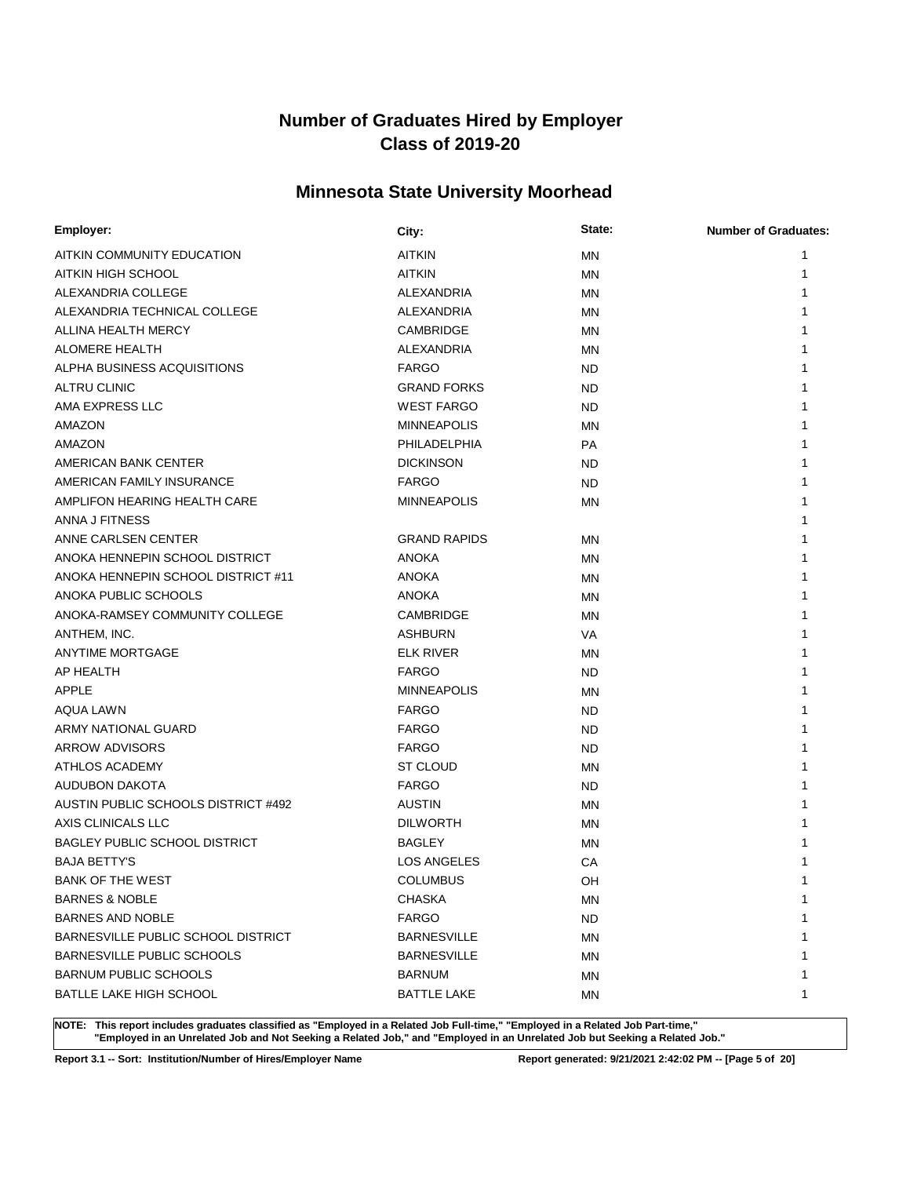## **Minnesota State University Moorhead**

| Employer:                                 | City:               | State:    | <b>Number of Graduates:</b> |
|-------------------------------------------|---------------------|-----------|-----------------------------|
| AITKIN COMMUNITY EDUCATION                | <b>AITKIN</b>       | <b>MN</b> | 1                           |
| AITKIN HIGH SCHOOL                        | <b>AITKIN</b>       | MN        | 1                           |
| ALEXANDRIA COLLEGE                        | <b>ALEXANDRIA</b>   | <b>MN</b> | 1                           |
| ALEXANDRIA TECHNICAL COLLEGE              | ALEXANDRIA          | <b>MN</b> | 1                           |
| ALLINA HEALTH MERCY                       | CAMBRIDGE           | <b>MN</b> | 1                           |
| ALOMERE HEALTH                            | ALEXANDRIA          | MN        | 1                           |
| ALPHA BUSINESS ACQUISITIONS               | <b>FARGO</b>        | <b>ND</b> | 1                           |
| <b>ALTRU CLINIC</b>                       | <b>GRAND FORKS</b>  | ND.       | 1                           |
| AMA EXPRESS LLC                           | <b>WEST FARGO</b>   | <b>ND</b> | 1                           |
| AMAZON                                    | <b>MINNEAPOLIS</b>  | MN        |                             |
| AMAZON                                    | PHILADELPHIA        | <b>PA</b> |                             |
| AMERICAN BANK CENTER                      | <b>DICKINSON</b>    | <b>ND</b> |                             |
| AMERICAN FAMILY INSURANCE                 | <b>FARGO</b>        | <b>ND</b> | 1                           |
| AMPLIFON HEARING HEALTH CARE              | <b>MINNEAPOLIS</b>  | MN        | 1                           |
| ANNA J FITNESS                            |                     |           | 1                           |
| ANNE CARLSEN CENTER                       | <b>GRAND RAPIDS</b> | MN        | 1                           |
| ANOKA HENNEPIN SCHOOL DISTRICT            | <b>ANOKA</b>        | ΜN        | 1                           |
| ANOKA HENNEPIN SCHOOL DISTRICT #11        | <b>ANOKA</b>        | MN        | 1                           |
| ANOKA PUBLIC SCHOOLS                      | <b>ANOKA</b>        | <b>MN</b> | 1                           |
| ANOKA-RAMSEY COMMUNITY COLLEGE            | CAMBRIDGE           | <b>MN</b> | 1                           |
| ANTHEM, INC.                              | <b>ASHBURN</b>      | <b>VA</b> | 1                           |
| ANYTIME MORTGAGE                          | <b>ELK RIVER</b>    | MN        | 1                           |
| AP HEALTH                                 | <b>FARGO</b>        | <b>ND</b> | 1                           |
| APPLE                                     | <b>MINNEAPOLIS</b>  | ΜN        | 1                           |
| AQUA LAWN                                 | <b>FARGO</b>        | <b>ND</b> | 1                           |
| ARMY NATIONAL GUARD                       | <b>FARGO</b>        | <b>ND</b> | 1                           |
| ARROW ADVISORS                            | <b>FARGO</b>        | <b>ND</b> |                             |
| ATHLOS ACADEMY                            | ST CLOUD            | <b>MN</b> | 1                           |
| AUDUBON DAKOTA                            | <b>FARGO</b>        | <b>ND</b> | 1                           |
| AUSTIN PUBLIC SCHOOLS DISTRICT #492       | <b>AUSTIN</b>       | MN        | 1                           |
| AXIS CLINICALS LLC                        | <b>DILWORTH</b>     | ΜN        |                             |
| <b>BAGLEY PUBLIC SCHOOL DISTRICT</b>      | BAGLEY              | ΜN        |                             |
| <b>BAJA BETTY'S</b>                       | <b>LOS ANGELES</b>  | CA        | 1                           |
| BANK OF THE WEST                          | <b>COLUMBUS</b>     | OH        | 1                           |
| <b>BARNES &amp; NOBLE</b>                 | <b>CHASKA</b>       | ΜN        | 1                           |
| <b>BARNES AND NOBLE</b>                   | <b>FARGO</b>        | <b>ND</b> | 1                           |
| <b>BARNESVILLE PUBLIC SCHOOL DISTRICT</b> | <b>BARNESVILLE</b>  | ΜN        | 1                           |
| BARNESVILLE PUBLIC SCHOOLS                | <b>BARNESVILLE</b>  | ΜN        | 1                           |
| <b>BARNUM PUBLIC SCHOOLS</b>              | <b>BARNUM</b>       | ΜN        | 1                           |
| BATLLE LAKE HIGH SCHOOL                   | <b>BATTLE LAKE</b>  | ΜN        | 1                           |

**NOTE: This report includes graduates classified as "Employed in a Related Job Full-time," "Employed in a Related Job Part-time," "Employed in an Unrelated Job and Not Seeking a Related Job," and "Employed in an Unrelated Job but Seeking a Related Job."**

**Report 3.1 -- Sort: Institution/Number of Hires/Employer Name Report generated: 9/21/2021 2:42:02 PM -- [Page 5 of 20]**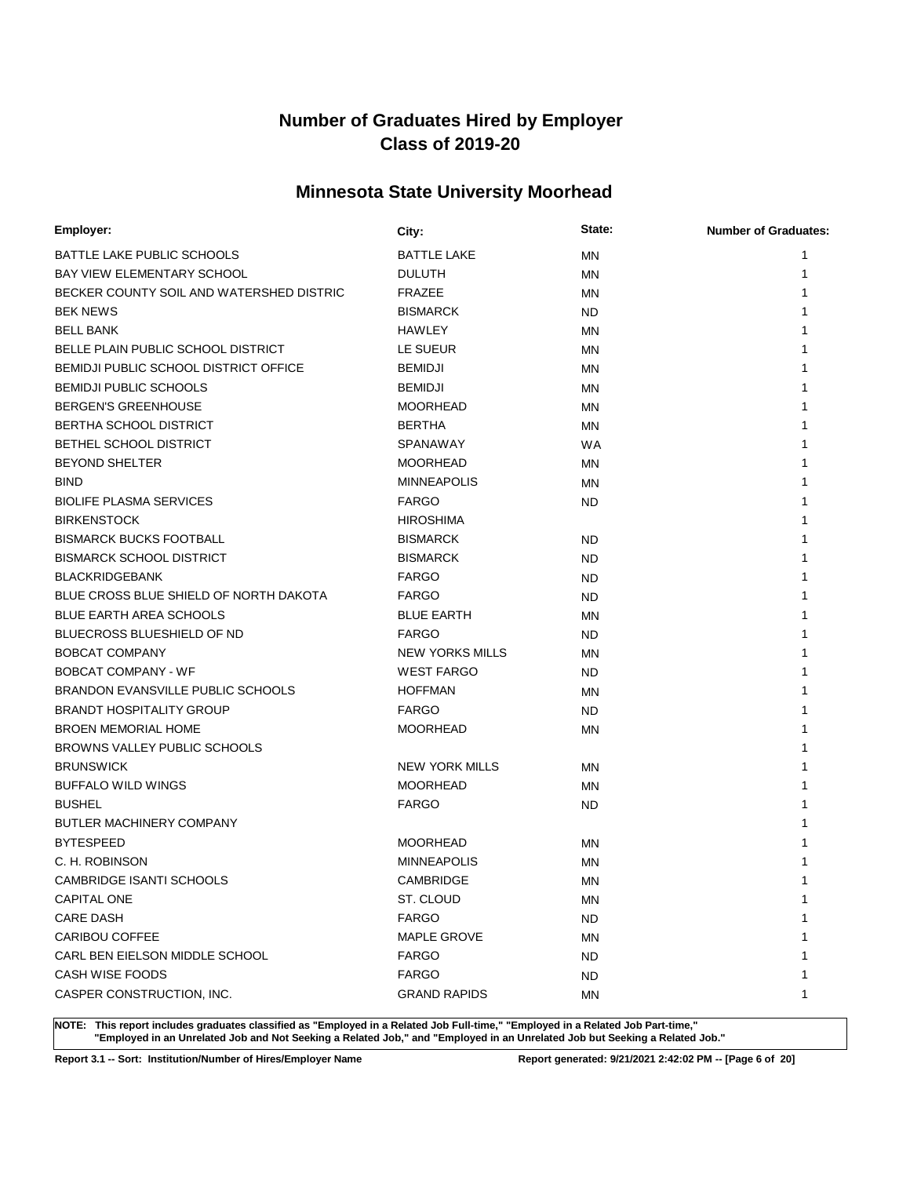## **Minnesota State University Moorhead**

| Employer:                                | City:                  | State:    | <b>Number of Graduates:</b> |
|------------------------------------------|------------------------|-----------|-----------------------------|
| BATTLE LAKE PUBLIC SCHOOLS               | <b>BATTLE LAKE</b>     | <b>MN</b> | 1                           |
| BAY VIEW ELEMENTARY SCHOOL               | <b>DULUTH</b>          | MN        | 1                           |
| BECKER COUNTY SOIL AND WATERSHED DISTRIC | <b>FRAZEE</b>          | ΜN        | 1                           |
| <b>BEK NEWS</b>                          | <b>BISMARCK</b>        | <b>ND</b> | 1                           |
| <b>BELL BANK</b>                         | <b>HAWLEY</b>          | ΜN        | 1                           |
| BELLE PLAIN PUBLIC SCHOOL DISTRICT       | LE SUEUR               | MN        | 1                           |
| BEMIDJI PUBLIC SCHOOL DISTRICT OFFICE    | <b>BEMIDJI</b>         | ΜN        | 1                           |
| <b>BEMIDJI PUBLIC SCHOOLS</b>            | <b>BEMIDJI</b>         | MN        | 1                           |
| <b>BERGEN'S GREENHOUSE</b>               | <b>MOORHEAD</b>        | ΜN        | 1                           |
| <b>BERTHA SCHOOL DISTRICT</b>            | <b>BERTHA</b>          | MN        | 1                           |
| <b>BETHEL SCHOOL DISTRICT</b>            | <b>SPANAWAY</b>        | <b>WA</b> | 1                           |
| <b>BEYOND SHELTER</b>                    | <b>MOORHEAD</b>        | MN        | 1                           |
| <b>BIND</b>                              | <b>MINNEAPOLIS</b>     | MN        | 1                           |
| <b>BIOLIFE PLASMA SERVICES</b>           | <b>FARGO</b>           | <b>ND</b> | 1                           |
| <b>BIRKENSTOCK</b>                       | <b>HIROSHIMA</b>       |           | 1                           |
| <b>BISMARCK BUCKS FOOTBALL</b>           | <b>BISMARCK</b>        | <b>ND</b> | 1                           |
| <b>BISMARCK SCHOOL DISTRICT</b>          | <b>BISMARCK</b>        | <b>ND</b> | 1                           |
| <b>BLACKRIDGEBANK</b>                    | <b>FARGO</b>           | <b>ND</b> | 1                           |
| BLUE CROSS BLUE SHIELD OF NORTH DAKOTA   | <b>FARGO</b>           | <b>ND</b> | 1                           |
| BLUE EARTH AREA SCHOOLS                  | <b>BLUE EARTH</b>      | MN        | 1                           |
| BLUECROSS BLUESHIELD OF ND               | <b>FARGO</b>           | <b>ND</b> | 1                           |
| <b>BOBCAT COMPANY</b>                    | <b>NEW YORKS MILLS</b> | MN        | 1                           |
| <b>BOBCAT COMPANY - WF</b>               | <b>WEST FARGO</b>      | <b>ND</b> | 1                           |
| <b>BRANDON EVANSVILLE PUBLIC SCHOOLS</b> | <b>HOFFMAN</b>         | MN        | 1                           |
| <b>BRANDT HOSPITALITY GROUP</b>          | <b>FARGO</b>           | <b>ND</b> | 1                           |
| <b>BROEN MEMORIAL HOME</b>               | <b>MOORHEAD</b>        | MN        | 1                           |
| BROWNS VALLEY PUBLIC SCHOOLS             |                        |           | 1                           |
| <b>BRUNSWICK</b>                         | <b>NEW YORK MILLS</b>  | MN        | 1                           |
| <b>BUFFALO WILD WINGS</b>                | <b>MOORHEAD</b>        | MN        | 1                           |
| <b>BUSHEL</b>                            | <b>FARGO</b>           | <b>ND</b> | 1                           |
| BUTLER MACHINERY COMPANY                 |                        |           |                             |
| <b>BYTESPEED</b>                         | <b>MOORHEAD</b>        | MN        |                             |
| C. H. ROBINSON                           | <b>MINNEAPOLIS</b>     | MN        |                             |
| CAMBRIDGE ISANTI SCHOOLS                 | CAMBRIDGE              | MN        | 1                           |
| CAPITAL ONE                              | ST. CLOUD              | МN        | 1                           |
| <b>CARE DASH</b>                         | <b>FARGO</b>           | <b>ND</b> | 1                           |
| CARIBOU COFFEE                           | <b>MAPLE GROVE</b>     | ΜN        | 1                           |
| CARL BEN EIELSON MIDDLE SCHOOL           | <b>FARGO</b>           | <b>ND</b> | 1                           |
| CASH WISE FOODS                          | <b>FARGO</b>           | ND.       | 1                           |
| CASPER CONSTRUCTION, INC.                | <b>GRAND RAPIDS</b>    | MN        | 1                           |

**NOTE: This report includes graduates classified as "Employed in a Related Job Full-time," "Employed in a Related Job Part-time," "Employed in an Unrelated Job and Not Seeking a Related Job," and "Employed in an Unrelated Job but Seeking a Related Job."**

**Report 3.1 -- Sort: Institution/Number of Hires/Employer Name Report generated: 9/21/2021 2:42:02 PM -- [Page 6 of 20]**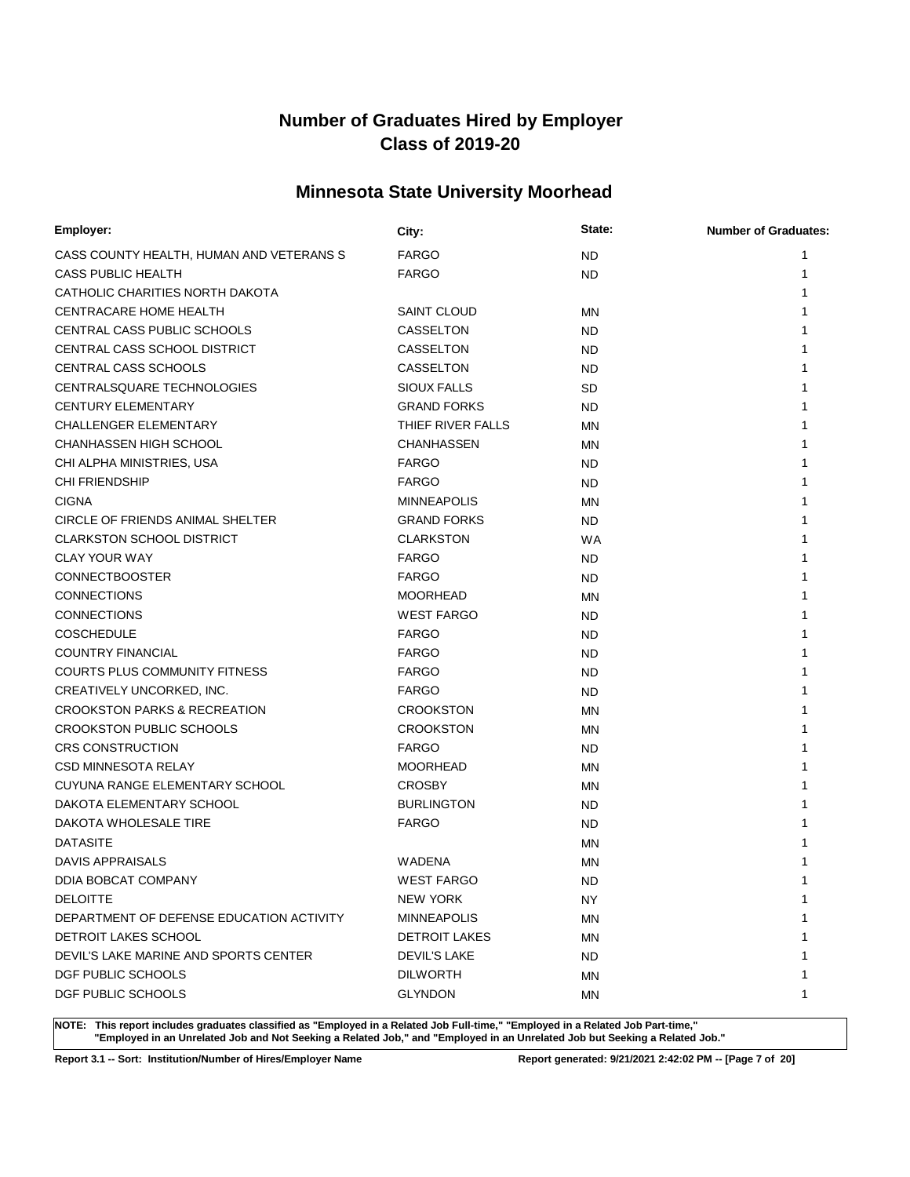## **Minnesota State University Moorhead**

| <b>FARGO</b><br><b>ND</b><br>1<br><b>FARGO</b><br>1<br><b>ND</b><br>1<br><b>SAINT CLOUD</b><br>MN<br>CASSELTON<br><b>ND</b><br>1<br>CASSELTON<br>1<br><b>ND</b><br>CASSELTON<br>1<br><b>ND</b><br>SIOUX FALLS<br><b>SD</b><br><b>GRAND FORKS</b><br><b>ND</b><br>1<br>THIEF RIVER FALLS<br>ΜN<br>1<br><b>CHANHASSEN</b><br>MN<br>1<br><b>FARGO</b><br>ND.<br>1<br><b>FARGO</b><br>1<br><b>ND</b><br><b>MINNEAPOLIS</b><br>1<br>ΜN<br><b>GRAND FORKS</b><br>1<br><b>ND</b><br><b>CLARKSTON</b><br><b>WA</b><br>1<br><b>FARGO</b><br><b>ND</b><br>1<br><b>FARGO</b><br><b>ND</b><br>1<br><b>MOORHEAD</b><br>ΜN<br>1<br><b>WEST FARGO</b><br>ND.<br>1<br><b>FARGO</b><br><b>ND</b><br>1<br><b>FARGO</b><br>1<br><b>ND</b><br><b>FARGO</b><br>1<br><b>ND</b><br><b>FARGO</b><br>1<br><b>ND</b><br><b>CROOKSTON</b><br>MN<br>1<br><b>CROOKSTON</b><br>MN<br>1<br><b>FARGO</b><br>ND.<br><b>MOORHEAD</b><br>ΜN<br><b>CROSBY</b><br>MN<br>1<br><b>BURLINGTON</b><br><b>ND</b><br><b>FARGO</b><br><b>ND</b><br>ΜN<br><b>WADENA</b><br><b>MN</b><br><b>WEST FARGO</b><br>1<br><b>ND</b><br>NEW YORK<br>1<br>NY.<br><b>MINNEAPOLIS</b><br>ΜN<br>1<br><b>DETROIT LAKES</b><br>ΜN<br>1<br>DEVIL'S LAKE<br>1<br><b>ND</b><br><b>DILWORTH</b><br>1<br>ΜN | Employer:                                | City:          | State: | <b>Number of Graduates:</b> |
|--------------------------------------------------------------------------------------------------------------------------------------------------------------------------------------------------------------------------------------------------------------------------------------------------------------------------------------------------------------------------------------------------------------------------------------------------------------------------------------------------------------------------------------------------------------------------------------------------------------------------------------------------------------------------------------------------------------------------------------------------------------------------------------------------------------------------------------------------------------------------------------------------------------------------------------------------------------------------------------------------------------------------------------------------------------------------------------------------------------------------------------------------------------------------------------------------------------------------------------------|------------------------------------------|----------------|--------|-----------------------------|
|                                                                                                                                                                                                                                                                                                                                                                                                                                                                                                                                                                                                                                                                                                                                                                                                                                                                                                                                                                                                                                                                                                                                                                                                                                            | CASS COUNTY HEALTH, HUMAN AND VETERANS S |                |        |                             |
|                                                                                                                                                                                                                                                                                                                                                                                                                                                                                                                                                                                                                                                                                                                                                                                                                                                                                                                                                                                                                                                                                                                                                                                                                                            | CASS PUBLIC HEALTH                       |                |        |                             |
|                                                                                                                                                                                                                                                                                                                                                                                                                                                                                                                                                                                                                                                                                                                                                                                                                                                                                                                                                                                                                                                                                                                                                                                                                                            | CATHOLIC CHARITIES NORTH DAKOTA          |                |        |                             |
|                                                                                                                                                                                                                                                                                                                                                                                                                                                                                                                                                                                                                                                                                                                                                                                                                                                                                                                                                                                                                                                                                                                                                                                                                                            | CENTRACARE HOME HEALTH                   |                |        |                             |
|                                                                                                                                                                                                                                                                                                                                                                                                                                                                                                                                                                                                                                                                                                                                                                                                                                                                                                                                                                                                                                                                                                                                                                                                                                            | CENTRAL CASS PUBLIC SCHOOLS              |                |        |                             |
|                                                                                                                                                                                                                                                                                                                                                                                                                                                                                                                                                                                                                                                                                                                                                                                                                                                                                                                                                                                                                                                                                                                                                                                                                                            | CENTRAL CASS SCHOOL DISTRICT             |                |        |                             |
|                                                                                                                                                                                                                                                                                                                                                                                                                                                                                                                                                                                                                                                                                                                                                                                                                                                                                                                                                                                                                                                                                                                                                                                                                                            | CENTRAL CASS SCHOOLS                     |                |        |                             |
|                                                                                                                                                                                                                                                                                                                                                                                                                                                                                                                                                                                                                                                                                                                                                                                                                                                                                                                                                                                                                                                                                                                                                                                                                                            | CENTRALSQUARE TECHNOLOGIES               |                |        |                             |
|                                                                                                                                                                                                                                                                                                                                                                                                                                                                                                                                                                                                                                                                                                                                                                                                                                                                                                                                                                                                                                                                                                                                                                                                                                            | <b>CENTURY ELEMENTARY</b>                |                |        |                             |
|                                                                                                                                                                                                                                                                                                                                                                                                                                                                                                                                                                                                                                                                                                                                                                                                                                                                                                                                                                                                                                                                                                                                                                                                                                            | <b>CHALLENGER ELEMENTARY</b>             |                |        |                             |
|                                                                                                                                                                                                                                                                                                                                                                                                                                                                                                                                                                                                                                                                                                                                                                                                                                                                                                                                                                                                                                                                                                                                                                                                                                            | <b>CHANHASSEN HIGH SCHOOL</b>            |                |        |                             |
|                                                                                                                                                                                                                                                                                                                                                                                                                                                                                                                                                                                                                                                                                                                                                                                                                                                                                                                                                                                                                                                                                                                                                                                                                                            | CHI ALPHA MINISTRIES, USA                |                |        |                             |
|                                                                                                                                                                                                                                                                                                                                                                                                                                                                                                                                                                                                                                                                                                                                                                                                                                                                                                                                                                                                                                                                                                                                                                                                                                            | <b>CHI FRIENDSHIP</b>                    |                |        |                             |
|                                                                                                                                                                                                                                                                                                                                                                                                                                                                                                                                                                                                                                                                                                                                                                                                                                                                                                                                                                                                                                                                                                                                                                                                                                            | <b>CIGNA</b>                             |                |        |                             |
|                                                                                                                                                                                                                                                                                                                                                                                                                                                                                                                                                                                                                                                                                                                                                                                                                                                                                                                                                                                                                                                                                                                                                                                                                                            | CIRCLE OF FRIENDS ANIMAL SHELTER         |                |        |                             |
|                                                                                                                                                                                                                                                                                                                                                                                                                                                                                                                                                                                                                                                                                                                                                                                                                                                                                                                                                                                                                                                                                                                                                                                                                                            | <b>CLARKSTON SCHOOL DISTRICT</b>         |                |        |                             |
|                                                                                                                                                                                                                                                                                                                                                                                                                                                                                                                                                                                                                                                                                                                                                                                                                                                                                                                                                                                                                                                                                                                                                                                                                                            | <b>CLAY YOUR WAY</b>                     |                |        |                             |
|                                                                                                                                                                                                                                                                                                                                                                                                                                                                                                                                                                                                                                                                                                                                                                                                                                                                                                                                                                                                                                                                                                                                                                                                                                            | <b>CONNECTBOOSTER</b>                    |                |        |                             |
|                                                                                                                                                                                                                                                                                                                                                                                                                                                                                                                                                                                                                                                                                                                                                                                                                                                                                                                                                                                                                                                                                                                                                                                                                                            | <b>CONNECTIONS</b>                       |                |        |                             |
|                                                                                                                                                                                                                                                                                                                                                                                                                                                                                                                                                                                                                                                                                                                                                                                                                                                                                                                                                                                                                                                                                                                                                                                                                                            | <b>CONNECTIONS</b>                       |                |        |                             |
|                                                                                                                                                                                                                                                                                                                                                                                                                                                                                                                                                                                                                                                                                                                                                                                                                                                                                                                                                                                                                                                                                                                                                                                                                                            | <b>COSCHEDULE</b>                        |                |        |                             |
|                                                                                                                                                                                                                                                                                                                                                                                                                                                                                                                                                                                                                                                                                                                                                                                                                                                                                                                                                                                                                                                                                                                                                                                                                                            | <b>COUNTRY FINANCIAL</b>                 |                |        |                             |
|                                                                                                                                                                                                                                                                                                                                                                                                                                                                                                                                                                                                                                                                                                                                                                                                                                                                                                                                                                                                                                                                                                                                                                                                                                            | COURTS PLUS COMMUNITY FITNESS            |                |        |                             |
|                                                                                                                                                                                                                                                                                                                                                                                                                                                                                                                                                                                                                                                                                                                                                                                                                                                                                                                                                                                                                                                                                                                                                                                                                                            | CREATIVELY UNCORKED, INC.                |                |        |                             |
|                                                                                                                                                                                                                                                                                                                                                                                                                                                                                                                                                                                                                                                                                                                                                                                                                                                                                                                                                                                                                                                                                                                                                                                                                                            | <b>CROOKSTON PARKS &amp; RECREATION</b>  |                |        |                             |
|                                                                                                                                                                                                                                                                                                                                                                                                                                                                                                                                                                                                                                                                                                                                                                                                                                                                                                                                                                                                                                                                                                                                                                                                                                            | <b>CROOKSTON PUBLIC SCHOOLS</b>          |                |        |                             |
|                                                                                                                                                                                                                                                                                                                                                                                                                                                                                                                                                                                                                                                                                                                                                                                                                                                                                                                                                                                                                                                                                                                                                                                                                                            | <b>CRS CONSTRUCTION</b>                  |                |        |                             |
|                                                                                                                                                                                                                                                                                                                                                                                                                                                                                                                                                                                                                                                                                                                                                                                                                                                                                                                                                                                                                                                                                                                                                                                                                                            | <b>CSD MINNESOTA RELAY</b>               |                |        |                             |
|                                                                                                                                                                                                                                                                                                                                                                                                                                                                                                                                                                                                                                                                                                                                                                                                                                                                                                                                                                                                                                                                                                                                                                                                                                            | CUYUNA RANGE ELEMENTARY SCHOOL           |                |        |                             |
|                                                                                                                                                                                                                                                                                                                                                                                                                                                                                                                                                                                                                                                                                                                                                                                                                                                                                                                                                                                                                                                                                                                                                                                                                                            | DAKOTA ELEMENTARY SCHOOL                 |                |        |                             |
|                                                                                                                                                                                                                                                                                                                                                                                                                                                                                                                                                                                                                                                                                                                                                                                                                                                                                                                                                                                                                                                                                                                                                                                                                                            | DAKOTA WHOLESALE TIRE                    |                |        |                             |
|                                                                                                                                                                                                                                                                                                                                                                                                                                                                                                                                                                                                                                                                                                                                                                                                                                                                                                                                                                                                                                                                                                                                                                                                                                            | <b>DATASITE</b>                          |                |        |                             |
|                                                                                                                                                                                                                                                                                                                                                                                                                                                                                                                                                                                                                                                                                                                                                                                                                                                                                                                                                                                                                                                                                                                                                                                                                                            | DAVIS APPRAISALS                         |                |        |                             |
|                                                                                                                                                                                                                                                                                                                                                                                                                                                                                                                                                                                                                                                                                                                                                                                                                                                                                                                                                                                                                                                                                                                                                                                                                                            | DDIA BOBCAT COMPANY                      |                |        |                             |
|                                                                                                                                                                                                                                                                                                                                                                                                                                                                                                                                                                                                                                                                                                                                                                                                                                                                                                                                                                                                                                                                                                                                                                                                                                            | <b>DELOITTE</b>                          |                |        |                             |
|                                                                                                                                                                                                                                                                                                                                                                                                                                                                                                                                                                                                                                                                                                                                                                                                                                                                                                                                                                                                                                                                                                                                                                                                                                            | DEPARTMENT OF DEFENSE EDUCATION ACTIVITY |                |        |                             |
|                                                                                                                                                                                                                                                                                                                                                                                                                                                                                                                                                                                                                                                                                                                                                                                                                                                                                                                                                                                                                                                                                                                                                                                                                                            | <b>DETROIT LAKES SCHOOL</b>              |                |        |                             |
|                                                                                                                                                                                                                                                                                                                                                                                                                                                                                                                                                                                                                                                                                                                                                                                                                                                                                                                                                                                                                                                                                                                                                                                                                                            | DEVIL'S LAKE MARINE AND SPORTS CENTER    |                |        |                             |
|                                                                                                                                                                                                                                                                                                                                                                                                                                                                                                                                                                                                                                                                                                                                                                                                                                                                                                                                                                                                                                                                                                                                                                                                                                            | DGF PUBLIC SCHOOLS                       |                |        |                             |
|                                                                                                                                                                                                                                                                                                                                                                                                                                                                                                                                                                                                                                                                                                                                                                                                                                                                                                                                                                                                                                                                                                                                                                                                                                            | DGF PUBLIC SCHOOLS                       | <b>GLYNDON</b> | ΜN     | 1                           |

**NOTE: This report includes graduates classified as "Employed in a Related Job Full-time," "Employed in a Related Job Part-time," "Employed in an Unrelated Job and Not Seeking a Related Job," and "Employed in an Unrelated Job but Seeking a Related Job."**

**Report 3.1 -- Sort: Institution/Number of Hires/Employer Name Report generated: 9/21/2021 2:42:02 PM -- [Page 7 of 20]**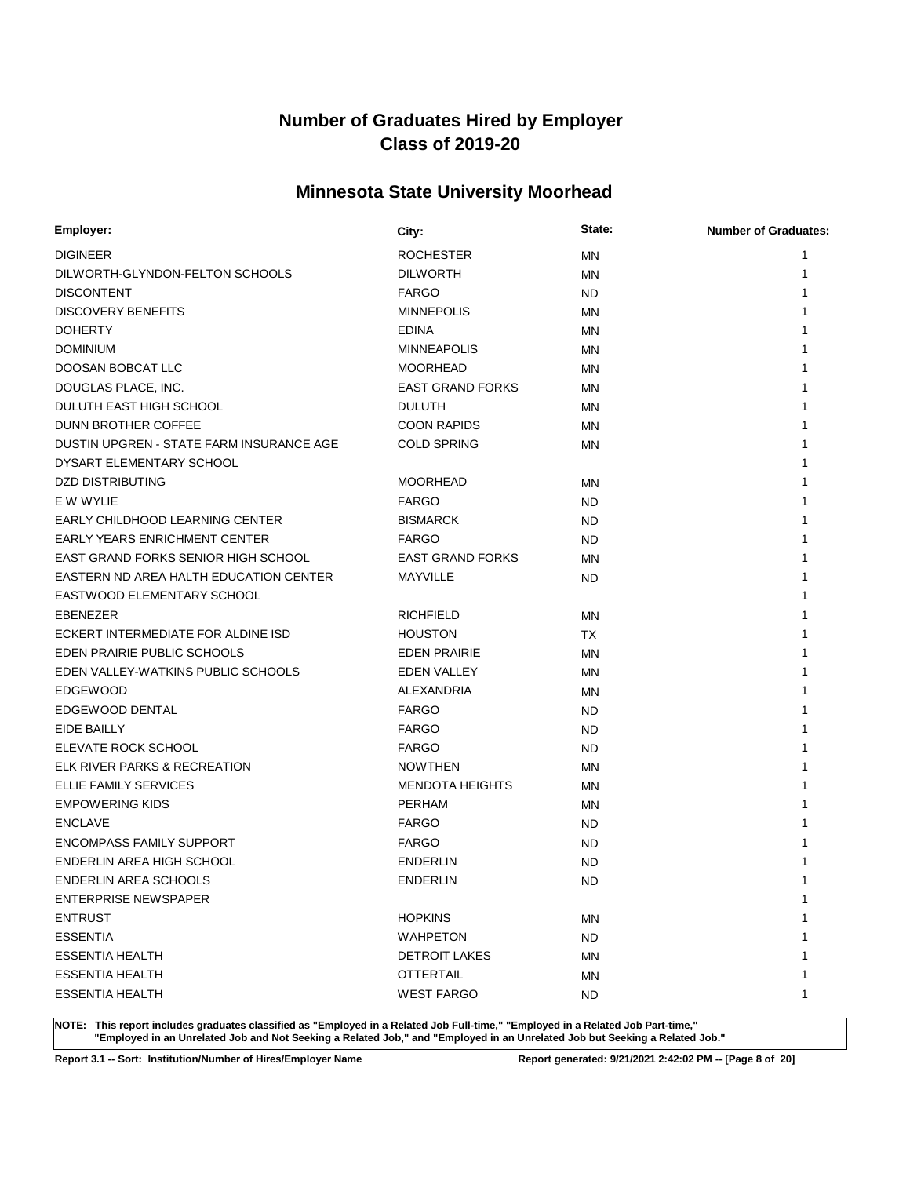## **Minnesota State University Moorhead**

| <b>Employer:</b>                         | City:                   | State:    | <b>Number of Graduates:</b> |
|------------------------------------------|-------------------------|-----------|-----------------------------|
| <b>DIGINEER</b>                          | ROCHESTER               | <b>MN</b> | 1                           |
| DILWORTH-GLYNDON-FELTON SCHOOLS          | <b>DILWORTH</b>         | MN        | 1                           |
| <b>DISCONTENT</b>                        | <b>FARGO</b>            | <b>ND</b> |                             |
| <b>DISCOVERY BENEFITS</b>                | <b>MINNEPOLIS</b>       | <b>MN</b> |                             |
| <b>DOHERTY</b>                           | <b>EDINA</b>            | <b>MN</b> | 1                           |
| <b>DOMINIUM</b>                          | <b>MINNEAPOLIS</b>      | MN        | 1                           |
| DOOSAN BOBCAT LLC                        | <b>MOORHEAD</b>         | <b>MN</b> | 1                           |
| DOUGLAS PLACE, INC.                      | <b>EAST GRAND FORKS</b> | <b>MN</b> | 1                           |
| DULUTH EAST HIGH SCHOOL                  | <b>DULUTH</b>           | MN        | 1                           |
| DUNN BROTHER COFFEE                      | <b>COON RAPIDS</b>      | MN        | 1                           |
| DUSTIN UPGREN - STATE FARM INSURANCE AGE | <b>COLD SPRING</b>      | MN        | 1                           |
| DYSART ELEMENTARY SCHOOL                 |                         |           | 1                           |
| <b>DZD DISTRIBUTING</b>                  | <b>MOORHEAD</b>         | MN        | 1                           |
| E W WYLIE                                | <b>FARGO</b>            | <b>ND</b> | 1                           |
| EARLY CHILDHOOD LEARNING CENTER          | <b>BISMARCK</b>         | ND        | 1                           |
| <b>EARLY YEARS ENRICHMENT CENTER</b>     | <b>FARGO</b>            | ND.       | 1                           |
| EAST GRAND FORKS SENIOR HIGH SCHOOL      | <b>EAST GRAND FORKS</b> | <b>MN</b> | 1                           |
| EASTERN ND AREA HALTH EDUCATION CENTER   | MAYVILLE                | <b>ND</b> | 1                           |
| EASTWOOD ELEMENTARY SCHOOL               |                         |           |                             |
| <b>EBENEZER</b>                          | <b>RICHFIELD</b>        | MN        | 1                           |
| ECKERT INTERMEDIATE FOR ALDINE ISD       | <b>HOUSTON</b>          | <b>TX</b> | 1                           |
| EDEN PRAIRIE PUBLIC SCHOOLS              | <b>EDEN PRAIRIE</b>     | MN        | 1                           |
| EDEN VALLEY-WATKINS PUBLIC SCHOOLS       | EDEN VALLEY             | MN        | 1                           |
| <b>EDGEWOOD</b>                          | ALEXANDRIA              | MN        | 1                           |
| EDGEWOOD DENTAL                          | <b>FARGO</b>            | ND.       | 1                           |
| EIDE BAILLY                              | <b>FARGO</b>            | ND        | 1                           |
| ELEVATE ROCK SCHOOL                      | <b>FARGO</b>            | ND        | 1                           |
| ELK RIVER PARKS & RECREATION             | <b>NOWTHEN</b>          | <b>MN</b> | 1                           |
| <b>ELLIE FAMILY SERVICES</b>             | <b>MENDOTA HEIGHTS</b>  | MN        | 1                           |
| <b>EMPOWERING KIDS</b>                   | <b>PERHAM</b>           | MN        | 1                           |
| <b>ENCLAVE</b>                           | <b>FARGO</b>            | ND        |                             |
| <b>ENCOMPASS FAMILY SUPPORT</b>          | <b>FARGO</b>            | <b>ND</b> |                             |
| ENDERLIN AREA HIGH SCHOOL                | <b>ENDERLIN</b>         | <b>ND</b> |                             |
| <b>ENDERLIN AREA SCHOOLS</b>             | <b>ENDERLIN</b>         | <b>ND</b> | 1                           |
| <b>ENTERPRISE NEWSPAPER</b>              |                         |           | 1                           |
| <b>ENTRUST</b>                           | <b>HOPKINS</b>          | <b>MN</b> | 1                           |
| <b>ESSENTIA</b>                          | <b>WAHPETON</b>         | <b>ND</b> | 1                           |
| <b>ESSENTIA HEALTH</b>                   | <b>DETROIT LAKES</b>    | MN        | 1                           |
| <b>ESSENTIA HEALTH</b>                   | <b>OTTERTAIL</b>        | ΜN        | 1                           |
| <b>ESSENTIA HEALTH</b>                   | <b>WEST FARGO</b>       | ND        | 1                           |

**NOTE: This report includes graduates classified as "Employed in a Related Job Full-time," "Employed in a Related Job Part-time," "Employed in an Unrelated Job and Not Seeking a Related Job," and "Employed in an Unrelated Job but Seeking a Related Job."**

**Report 3.1 -- Sort: Institution/Number of Hires/Employer Name Report generated: 9/21/2021 2:42:02 PM -- [Page 8 of 20]**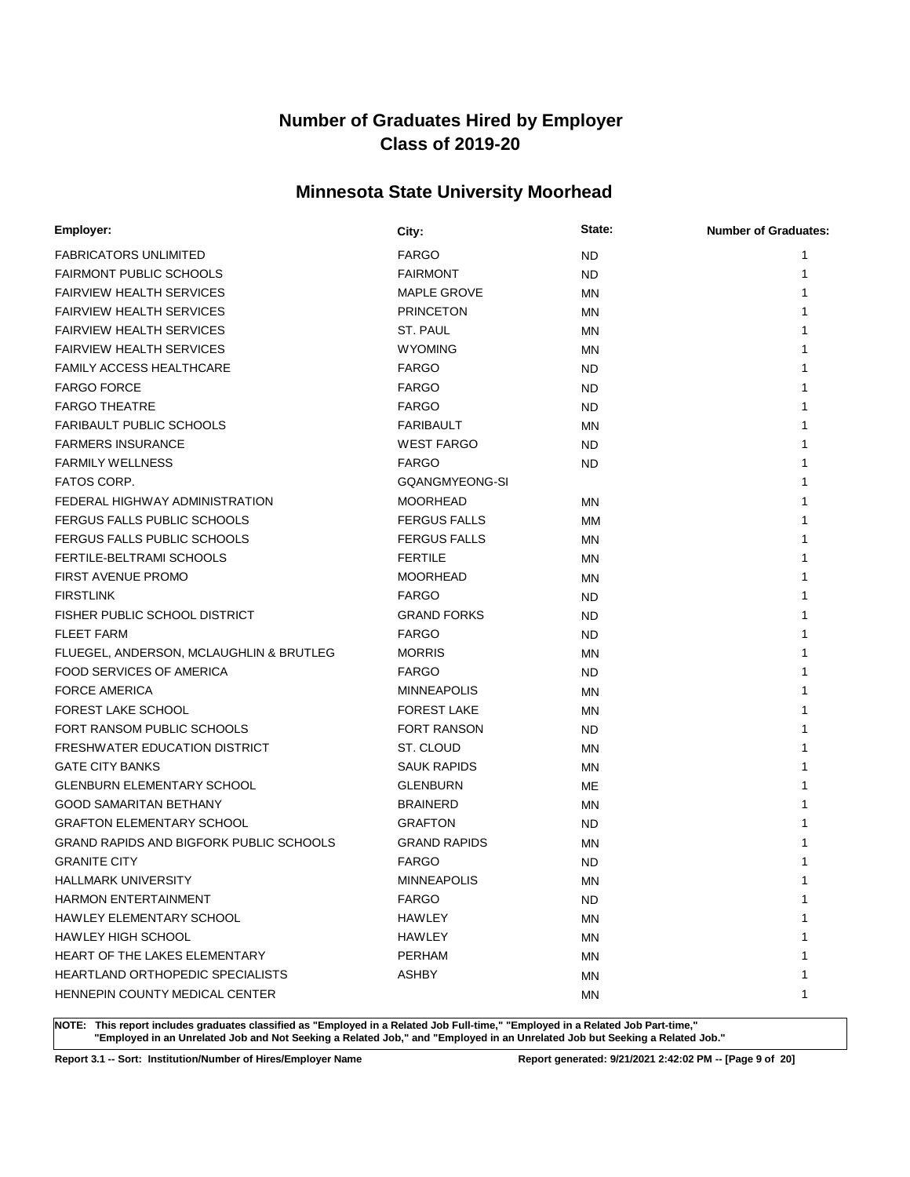## **Minnesota State University Moorhead**

| Employer:                                      | City:               | State:    | <b>Number of Graduates:</b> |
|------------------------------------------------|---------------------|-----------|-----------------------------|
| <b>FABRICATORS UNLIMITED</b>                   | <b>FARGO</b>        | <b>ND</b> | 1                           |
| <b>FAIRMONT PUBLIC SCHOOLS</b>                 | <b>FAIRMONT</b>     | <b>ND</b> | 1                           |
| <b>FAIRVIEW HEALTH SERVICES</b>                | MAPLE GROVE         | MN        |                             |
| <b>FAIRVIEW HEALTH SERVICES</b>                | <b>PRINCETON</b>    | MN        |                             |
| <b>FAIRVIEW HEALTH SERVICES</b>                | ST. PAUL            | MN        |                             |
| <b>FAIRVIEW HEALTH SERVICES</b>                | <b>WYOMING</b>      | MN        |                             |
| <b>FAMILY ACCESS HEALTHCARE</b>                | <b>FARGO</b>        | <b>ND</b> |                             |
| <b>FARGO FORCE</b>                             | <b>FARGO</b>        | <b>ND</b> |                             |
| <b>FARGO THEATRE</b>                           | <b>FARGO</b>        | <b>ND</b> |                             |
| FARIBAULT PUBLIC SCHOOLS                       | <b>FARIBAULT</b>    | MN        |                             |
| <b>FARMERS INSURANCE</b>                       | <b>WEST FARGO</b>   | <b>ND</b> |                             |
| <b>FARMILY WELLNESS</b>                        | <b>FARGO</b>        | <b>ND</b> |                             |
| FATOS CORP.                                    | GQANGMYEONG-SI      |           |                             |
| FEDERAL HIGHWAY ADMINISTRATION                 | <b>MOORHEAD</b>     | MN        |                             |
| FERGUS FALLS PUBLIC SCHOOLS                    | <b>FERGUS FALLS</b> | MМ        |                             |
| FERGUS FALLS PUBLIC SCHOOLS                    | <b>FERGUS FALLS</b> | MN        |                             |
| FERTILE-BELTRAMI SCHOOLS                       | <b>FERTILE</b>      | ΜN        |                             |
| FIRST AVENUE PROMO                             | <b>MOORHEAD</b>     | MN        |                             |
| <b>FIRSTLINK</b>                               | <b>FARGO</b>        | <b>ND</b> |                             |
| FISHER PUBLIC SCHOOL DISTRICT                  | <b>GRAND FORKS</b>  | <b>ND</b> |                             |
| <b>FLEET FARM</b>                              | <b>FARGO</b>        | <b>ND</b> |                             |
| FLUEGEL, ANDERSON, MCLAUGHLIN & BRUTLEG        | <b>MORRIS</b>       | MN        |                             |
| FOOD SERVICES OF AMERICA                       | <b>FARGO</b>        | <b>ND</b> |                             |
| <b>FORCE AMERICA</b>                           | <b>MINNEAPOLIS</b>  | MN        |                             |
| <b>FOREST LAKE SCHOOL</b>                      | <b>FOREST LAKE</b>  | MN        |                             |
| FORT RANSOM PUBLIC SCHOOLS                     | <b>FORT RANSON</b>  | ND.       |                             |
| <b>FRESHWATER EDUCATION DISTRICT</b>           | ST. CLOUD           | MN        |                             |
| <b>GATE CITY BANKS</b>                         | <b>SAUK RAPIDS</b>  | MN        |                             |
| <b>GLENBURN ELEMENTARY SCHOOL</b>              | <b>GLENBURN</b>     | ME        |                             |
| <b>GOOD SAMARITAN BETHANY</b>                  | <b>BRAINERD</b>     | MN        |                             |
| <b>GRAFTON ELEMENTARY SCHOOL</b>               | <b>GRAFTON</b>      | <b>ND</b> |                             |
| <b>GRAND RAPIDS AND BIGFORK PUBLIC SCHOOLS</b> | <b>GRAND RAPIDS</b> | MN        |                             |
| <b>GRANITE CITY</b>                            | <b>FARGO</b>        | <b>ND</b> |                             |
| HALLMARK UNIVERSITY                            | <b>MINNEAPOLIS</b>  | ΜN        | 1                           |
| <b>HARMON ENTERTAINMENT</b>                    | <b>FARGO</b>        | ND.       | 1                           |
| HAWLEY ELEMENTARY SCHOOL                       | HAWLEY              | ΜN        | 1                           |
| <b>HAWLEY HIGH SCHOOL</b>                      | HAWLEY              | ΜN        |                             |
| <b>HEART OF THE LAKES ELEMENTARY</b>           | <b>PERHAM</b>       | ΜN        | 1                           |
| <b>HEARTLAND ORTHOPEDIC SPECIALISTS</b>        | <b>ASHBY</b>        | ΜN        | 1                           |
| HENNEPIN COUNTY MEDICAL CENTER                 |                     | ΜN        | 1                           |

**NOTE: This report includes graduates classified as "Employed in a Related Job Full-time," "Employed in a Related Job Part-time," "Employed in an Unrelated Job and Not Seeking a Related Job," and "Employed in an Unrelated Job but Seeking a Related Job."**

**Report 3.1 -- Sort: Institution/Number of Hires/Employer Name Report generated: 9/21/2021 2:42:02 PM -- [Page 9 of 20]**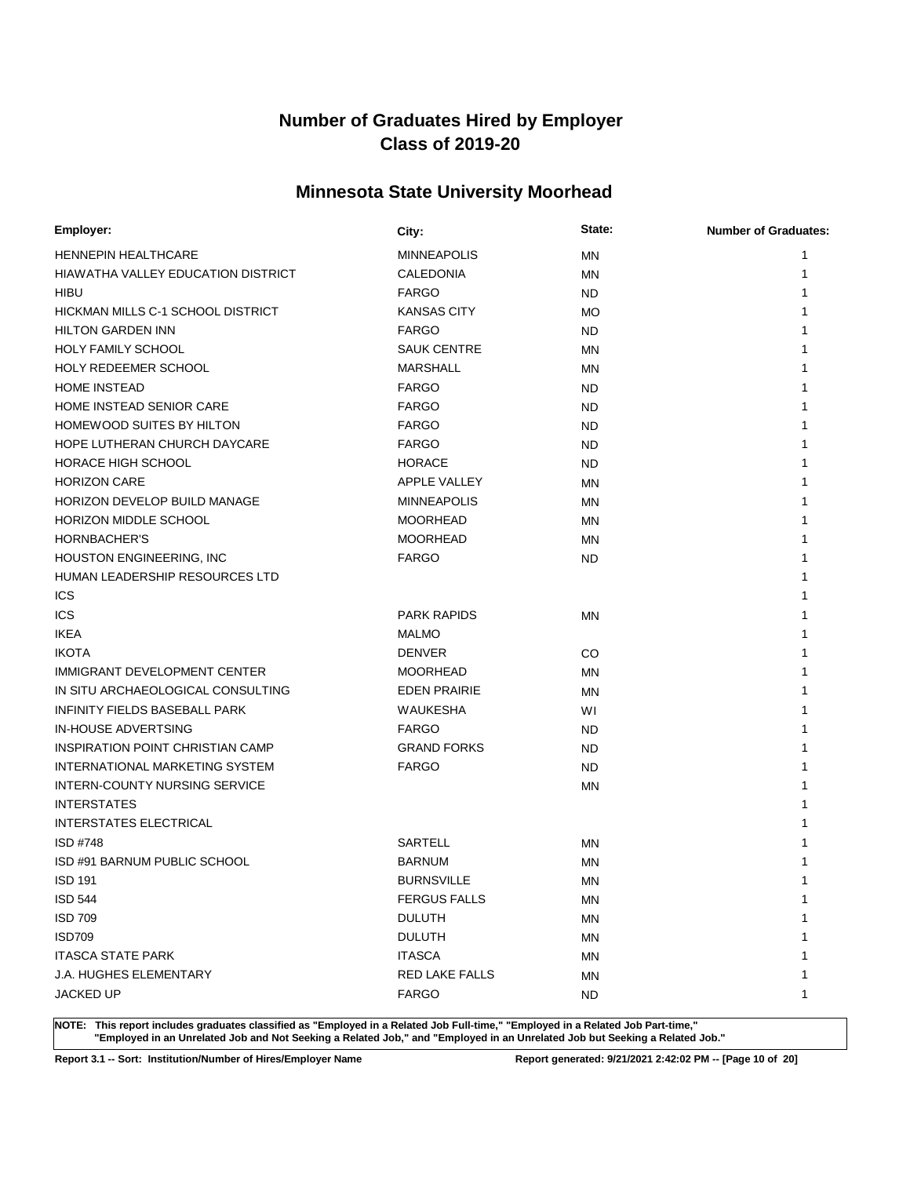## **Minnesota State University Moorhead**

| Employer:                                 | City:               | State:    | <b>Number of Graduates:</b> |
|-------------------------------------------|---------------------|-----------|-----------------------------|
| <b>HENNEPIN HEALTHCARE</b>                | <b>MINNEAPOLIS</b>  | MN        | 1                           |
| <b>HIAWATHA VALLEY EDUCATION DISTRICT</b> | CALEDONIA           | ΜN        | 1                           |
| HIBU                                      | <b>FARGO</b>        | <b>ND</b> | 1                           |
| <b>HICKMAN MILLS C-1 SCHOOL DISTRICT</b>  | <b>KANSAS CITY</b>  | MO        | 1                           |
| <b>HILTON GARDEN INN</b>                  | <b>FARGO</b>        | <b>ND</b> | 1                           |
| <b>HOLY FAMILY SCHOOL</b>                 | <b>SAUK CENTRE</b>  | MN        | 1                           |
| <b>HOLY REDEEMER SCHOOL</b>               | <b>MARSHALL</b>     | MN        | 1                           |
| <b>HOME INSTEAD</b>                       | <b>FARGO</b>        | <b>ND</b> | 1                           |
| HOME INSTEAD SENIOR CARE                  | <b>FARGO</b>        | <b>ND</b> | 1                           |
| <b>HOMEWOOD SUITES BY HILTON</b>          | <b>FARGO</b>        | <b>ND</b> | 1                           |
| HOPE LUTHERAN CHURCH DAYCARE              | <b>FARGO</b>        | <b>ND</b> |                             |
| <b>HORACE HIGH SCHOOL</b>                 | <b>HORACE</b>       | <b>ND</b> | 1                           |
| <b>HORIZON CARE</b>                       | <b>APPLE VALLEY</b> | MN        | 1                           |
| HORIZON DEVELOP BUILD MANAGE              | <b>MINNEAPOLIS</b>  | <b>MN</b> | 1                           |
| HORIZON MIDDLE SCHOOL                     | <b>MOORHEAD</b>     | MN        |                             |
| HORNBACHER'S                              | <b>MOORHEAD</b>     | MN        | 1                           |
| <b>HOUSTON ENGINEERING, INC</b>           | <b>FARGO</b>        | <b>ND</b> | 1                           |
| <b>HUMAN LEADERSHIP RESOURCES LTD</b>     |                     |           |                             |
| <b>ICS</b>                                |                     |           | 1                           |
| ICS                                       | <b>PARK RAPIDS</b>  | ΜN        | 1                           |
| <b>IKEA</b>                               | <b>MALMO</b>        |           | 1                           |
| <b>IKOTA</b>                              | <b>DENVER</b>       | CO        | 1                           |
| IMMIGRANT DEVELOPMENT CENTER              | <b>MOORHEAD</b>     | MN        | 1                           |
| IN SITU ARCHAEOLOGICAL CONSULTING         | <b>EDEN PRAIRIE</b> | ΜN        | 1                           |
| INFINITY FIELDS BASEBALL PARK             | <b>WAUKESHA</b>     | WI        | 1                           |
| <b>IN-HOUSE ADVERTSING</b>                | <b>FARGO</b>        | <b>ND</b> | 1                           |
| <b>INSPIRATION POINT CHRISTIAN CAMP</b>   | <b>GRAND FORKS</b>  | <b>ND</b> | 1                           |
| INTERNATIONAL MARKETING SYSTEM            | <b>FARGO</b>        | <b>ND</b> | 1                           |
| INTERN-COUNTY NURSING SERVICE             |                     | MN        | 1                           |
| <b>INTERSTATES</b>                        |                     |           | 1                           |
| INTERSTATES ELECTRICAL                    |                     |           |                             |
| ISD #748                                  | <b>SARTELL</b>      | ΜN        | 1                           |
| ISD #91 BARNUM PUBLIC SCHOOL              | <b>BARNUM</b>       | <b>MN</b> | 1                           |
| <b>ISD 191</b>                            | <b>BURNSVILLE</b>   | <b>MN</b> | 1                           |
| <b>ISD 544</b>                            | <b>FERGUS FALLS</b> | MN        | 1                           |
| <b>ISD 709</b>                            | <b>DULUTH</b>       | <b>MN</b> | 1                           |
| <b>ISD709</b>                             | <b>DULUTH</b>       | MN        | 1                           |
| <b>ITASCA STATE PARK</b>                  | <b>ITASCA</b>       | MN        |                             |
| <b>J.A. HUGHES ELEMENTARY</b>             | RED LAKE FALLS      | ΜN        | 1                           |
| JACKED UP                                 | <b>FARGO</b>        | ND.       | 1                           |

**NOTE: This report includes graduates classified as "Employed in a Related Job Full-time," "Employed in a Related Job Part-time," "Employed in an Unrelated Job and Not Seeking a Related Job," and "Employed in an Unrelated Job but Seeking a Related Job."**

**Report 3.1 -- Sort: Institution/Number of Hires/Employer Name Report generated: 9/21/2021 2:42:02 PM -- [Page 10 of 20]**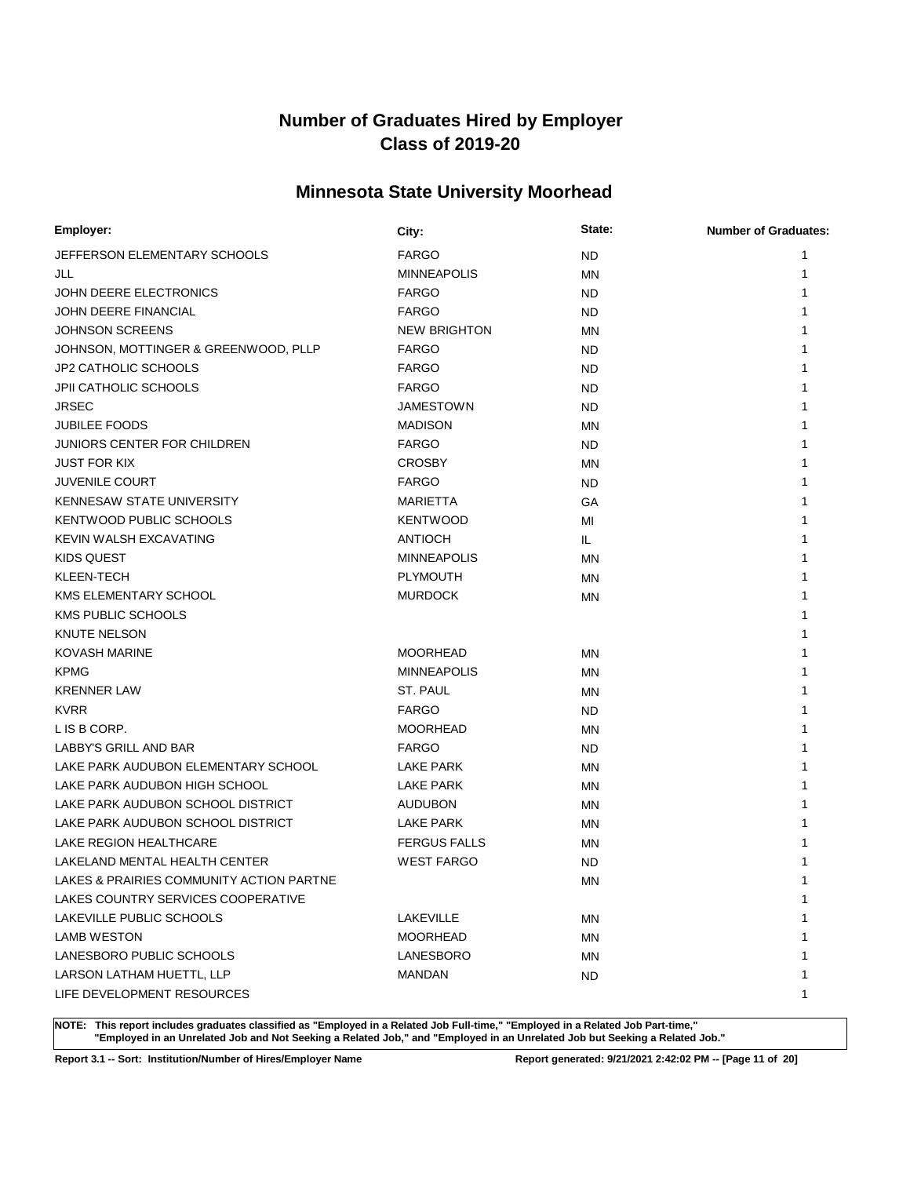## **Minnesota State University Moorhead**

| Employer:                                | City:               | State:    | <b>Number of Graduates:</b> |
|------------------------------------------|---------------------|-----------|-----------------------------|
| JEFFERSON ELEMENTARY SCHOOLS             | <b>FARGO</b>        | <b>ND</b> | 1                           |
| JLL                                      | <b>MINNEAPOLIS</b>  | <b>MN</b> | 1                           |
| JOHN DEERE ELECTRONICS                   | <b>FARGO</b>        | <b>ND</b> | 1                           |
| <b>JOHN DEERE FINANCIAL</b>              | <b>FARGO</b>        | <b>ND</b> |                             |
| <b>JOHNSON SCREENS</b>                   | <b>NEW BRIGHTON</b> | <b>MN</b> |                             |
| JOHNSON, MOTTINGER & GREENWOOD, PLLP     | <b>FARGO</b>        | ND        | 1                           |
| <b>JP2 CATHOLIC SCHOOLS</b>              | <b>FARGO</b>        | ND        | 1                           |
| <b>JPII CATHOLIC SCHOOLS</b>             | <b>FARGO</b>        | ND        |                             |
| <b>JRSEC</b>                             | <b>JAMESTOWN</b>    | ND.       |                             |
| <b>JUBILEE FOODS</b>                     | <b>MADISON</b>      | MN        |                             |
| <b>JUNIORS CENTER FOR CHILDREN</b>       | <b>FARGO</b>        | <b>ND</b> |                             |
| <b>JUST FOR KIX</b>                      | <b>CROSBY</b>       | MN        |                             |
| <b>JUVENILE COURT</b>                    | <b>FARGO</b>        | <b>ND</b> | 1                           |
| <b>KENNESAW STATE UNIVERSITY</b>         | MARIETTA            | GA        | 1                           |
| KENTWOOD PUBLIC SCHOOLS                  | <b>KENTWOOD</b>     | MI        |                             |
| KEVIN WALSH EXCAVATING                   | <b>ANTIOCH</b>      | IL.       |                             |
| KIDS QUEST                               | <b>MINNEAPOLIS</b>  | ΜN        |                             |
| KLEEN-TECH                               | <b>PLYMOUTH</b>     | MN        |                             |
| <b>KMS ELEMENTARY SCHOOL</b>             | <b>MURDOCK</b>      | ΜN        |                             |
| <b>KMS PUBLIC SCHOOLS</b>                |                     |           |                             |
| <b>KNUTE NELSON</b>                      |                     |           | 1                           |
| <b>KOVASH MARINE</b>                     | <b>MOORHEAD</b>     | ΜN        |                             |
| <b>KPMG</b>                              | <b>MINNEAPOLIS</b>  | ΜN        | 1                           |
| <b>KRENNER LAW</b>                       | ST. PAUL            | ΜN        |                             |
| <b>KVRR</b>                              | <b>FARGO</b>        | <b>ND</b> |                             |
| L IS B CORP.                             | <b>MOORHEAD</b>     | MN        |                             |
| LABBY'S GRILL AND BAR                    | <b>FARGO</b>        | <b>ND</b> |                             |
| LAKE PARK AUDUBON ELEMENTARY SCHOOL      | <b>LAKE PARK</b>    | MN        |                             |
| LAKE PARK AUDUBON HIGH SCHOOL            | <b>LAKE PARK</b>    | MN        | 1                           |
| LAKE PARK AUDUBON SCHOOL DISTRICT        | <b>AUDUBON</b>      | ΜN        |                             |
| LAKE PARK AUDUBON SCHOOL DISTRICT        | <b>LAKE PARK</b>    | ΜN        |                             |
| LAKE REGION HEALTHCARE                   | <b>FERGUS FALLS</b> | ΜN        |                             |
| LAKELAND MENTAL HEALTH CENTER            | <b>WEST FARGO</b>   | <b>ND</b> |                             |
| LAKES & PRAIRIES COMMUNITY ACTION PARTNE |                     | MN        | 1                           |
| LAKES COUNTRY SERVICES COOPERATIVE       |                     |           | 1                           |
| LAKEVILLE PUBLIC SCHOOLS                 | LAKEVILLE           | ΜN        | 1                           |
| <b>LAMB WESTON</b>                       | <b>MOORHEAD</b>     | <b>MN</b> | 1                           |
| LANESBORO PUBLIC SCHOOLS                 | LANESBORO           | ΜN        | 1                           |
| LARSON LATHAM HUETTL, LLP                | <b>MANDAN</b>       | ND.       | 1                           |
| LIFE DEVELOPMENT RESOURCES               |                     |           | 1                           |

**NOTE: This report includes graduates classified as "Employed in a Related Job Full-time," "Employed in a Related Job Part-time," "Employed in an Unrelated Job and Not Seeking a Related Job," and "Employed in an Unrelated Job but Seeking a Related Job."**

**Report 3.1 -- Sort: Institution/Number of Hires/Employer Name Report generated: 9/21/2021 2:42:02 PM -- [Page 11 of 20]**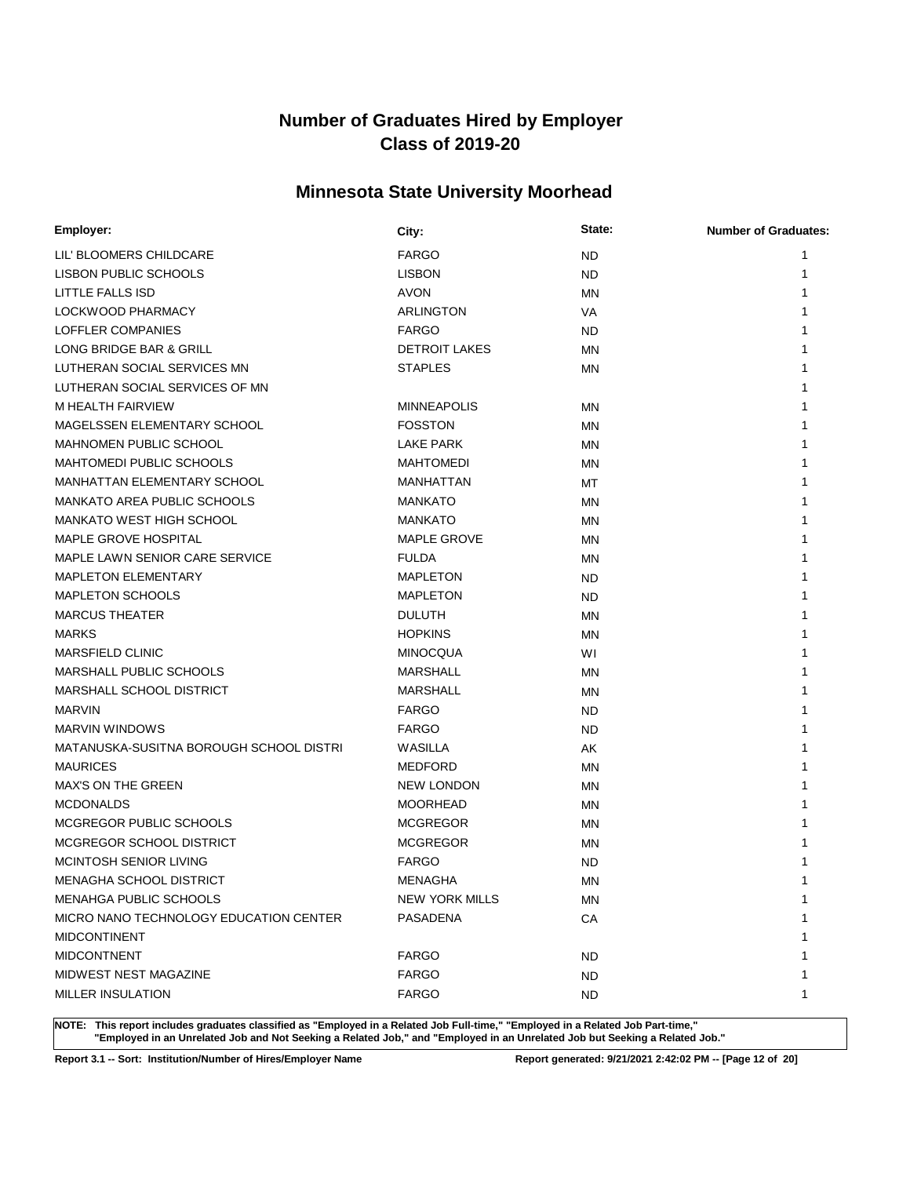## **Minnesota State University Moorhead**

| Employer:                               | City:                 | State:    | <b>Number of Graduates:</b> |
|-----------------------------------------|-----------------------|-----------|-----------------------------|
| LIL' BLOOMERS CHILDCARE                 | <b>FARGO</b>          | ND.       | 1                           |
| <b>LISBON PUBLIC SCHOOLS</b>            | <b>LISBON</b>         | <b>ND</b> | 1                           |
| LITTLE FALLS ISD                        | <b>AVON</b>           | ΜN        | 1                           |
| LOCKWOOD PHARMACY                       | ARLINGTON             | VA        |                             |
| LOFFLER COMPANIES                       | <b>FARGO</b>          | <b>ND</b> | 1                           |
| LONG BRIDGE BAR & GRILL                 | <b>DETROIT LAKES</b>  | ΜN        | 1                           |
| LUTHERAN SOCIAL SERVICES MN             | <b>STAPLES</b>        | ΜN        | 1                           |
| LUTHERAN SOCIAL SERVICES OF MN          |                       |           |                             |
| M HEALTH FAIRVIEW                       | <b>MINNEAPOLIS</b>    | <b>MN</b> |                             |
| MAGELSSEN ELEMENTARY SCHOOL             | <b>FOSSTON</b>        | ΜN        |                             |
| <b>MAHNOMEN PUBLIC SCHOOL</b>           | LAKE PARK             | ΜN        |                             |
| <b>MAHTOMEDI PUBLIC SCHOOLS</b>         | <b>MAHTOMEDI</b>      | ΜN        |                             |
| MANHATTAN ELEMENTARY SCHOOL             | MANHATTAN             | МT        | 1                           |
| <b>MANKATO AREA PUBLIC SCHOOLS</b>      | <b>MANKATO</b>        | ΜN        | 1                           |
| <b>MANKATO WEST HIGH SCHOOL</b>         | <b>MANKATO</b>        | ΜN        | 1                           |
| <b>MAPLE GROVE HOSPITAL</b>             | <b>MAPLE GROVE</b>    | ΜN        |                             |
| MAPLE LAWN SENIOR CARE SERVICE          | <b>FULDA</b>          | MN        |                             |
| <b>MAPLETON ELEMENTARY</b>              | <b>MAPLETON</b>       | ND        |                             |
| <b>MAPLETON SCHOOLS</b>                 | <b>MAPLETON</b>       | ND        |                             |
| <b>MARCUS THEATER</b>                   | <b>DULUTH</b>         | ΜN        |                             |
| <b>MARKS</b>                            | <b>HOPKINS</b>        | ΜN        |                             |
| <b>MARSFIELD CLINIC</b>                 | <b>MINOCQUA</b>       | WI        | 1                           |
| MARSHALL PUBLIC SCHOOLS                 | <b>MARSHALL</b>       | ΜN        | 1                           |
| MARSHALL SCHOOL DISTRICT                | <b>MARSHALL</b>       | ΜN        |                             |
| <b>MARVIN</b>                           | <b>FARGO</b>          | ND        |                             |
| <b>MARVIN WINDOWS</b>                   | <b>FARGO</b>          | ND.       |                             |
| MATANUSKA-SUSITNA BOROUGH SCHOOL DISTRI | WASILLA               | AK        |                             |
| <b>MAURICES</b>                         | <b>MEDFORD</b>        | ΜN        |                             |
| <b>MAX'S ON THE GREEN</b>               | <b>NEW LONDON</b>     | ΜN        |                             |
| <b>MCDONALDS</b>                        | <b>MOORHEAD</b>       | ΜN        |                             |
| MCGREGOR PUBLIC SCHOOLS                 | <b>MCGREGOR</b>       | ΜN        |                             |
| MCGREGOR SCHOOL DISTRICT                | <b>MCGREGOR</b>       | ΜN        |                             |
| MCINTOSH SENIOR LIVING                  | <b>FARGO</b>          | ND        |                             |
| <b>MENAGHA SCHOOL DISTRICT</b>          | <b>MENAGHA</b>        | <b>MN</b> | 1                           |
| MENAHGA PUBLIC SCHOOLS                  | <b>NEW YORK MILLS</b> | ΜN        | 1                           |
| MICRO NANO TECHNOLOGY EDUCATION CENTER  | PASADENA              | CA        | 1                           |
| <b>MIDCONTINENT</b>                     |                       |           |                             |
| <b>MIDCONTNENT</b>                      | <b>FARGO</b>          | ND        |                             |
| MIDWEST NEST MAGAZINE                   | <b>FARGO</b>          | ND.       | 1                           |
| <b>MILLER INSULATION</b>                | FARGO                 | ND.       | 1                           |

**NOTE: This report includes graduates classified as "Employed in a Related Job Full-time," "Employed in a Related Job Part-time," "Employed in an Unrelated Job and Not Seeking a Related Job," and "Employed in an Unrelated Job but Seeking a Related Job."**

**Report 3.1 -- Sort: Institution/Number of Hires/Employer Name Report generated: 9/21/2021 2:42:02 PM -- [Page 12 of 20]**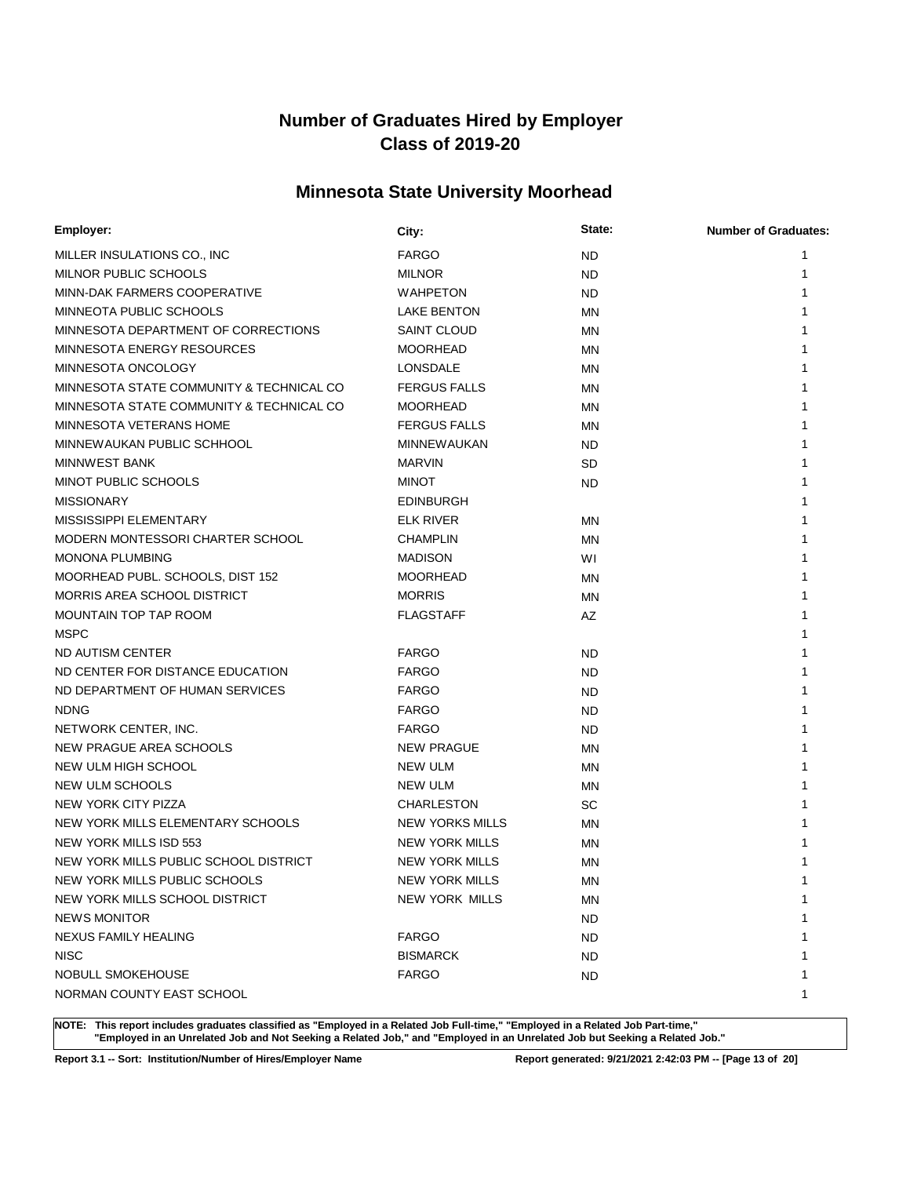## **Minnesota State University Moorhead**

| Employer:                                 | City:                  | State:    | <b>Number of Graduates:</b> |
|-------------------------------------------|------------------------|-----------|-----------------------------|
| MILLER INSULATIONS CO., INC               | <b>FARGO</b>           | <b>ND</b> | 1                           |
| MILNOR PUBLIC SCHOOLS                     | <b>MILNOR</b>          | <b>ND</b> |                             |
| MINN-DAK FARMERS COOPERATIVE              | <b>WAHPETON</b>        | <b>ND</b> |                             |
| MINNEOTA PUBLIC SCHOOLS                   | <b>LAKE BENTON</b>     | <b>MN</b> |                             |
| MINNESOTA DEPARTMENT OF CORRECTIONS       | <b>SAINT CLOUD</b>     | <b>MN</b> |                             |
| MINNESOTA ENERGY RESOURCES                | <b>MOORHEAD</b>        | ΜN        |                             |
| MINNESOTA ONCOLOGY                        | <b>LONSDALE</b>        | ΜN        |                             |
| MINNESOTA STATE COMMUNITY & TECHNICAL CO  | <b>FERGUS FALLS</b>    | ΜN        |                             |
| MINNESOTA STATE COMMUNITY & TECHNICAL CO. | <b>MOORHEAD</b>        | <b>MN</b> |                             |
| MINNESOTA VETERANS HOME                   | <b>FERGUS FALLS</b>    | ΜN        |                             |
| MINNEWAUKAN PUBLIC SCHHOOL                | <b>MINNEWAUKAN</b>     | <b>ND</b> |                             |
| <b>MINNWEST BANK</b>                      | <b>MARVIN</b>          | <b>SD</b> |                             |
| MINOT PUBLIC SCHOOLS                      | <b>MINOT</b>           | <b>ND</b> |                             |
| <b>MISSIONARY</b>                         | <b>EDINBURGH</b>       |           |                             |
| MISSISSIPPI ELEMENTARY                    | <b>ELK RIVER</b>       | ΜN        |                             |
| MODERN MONTESSORI CHARTER SCHOOL          | <b>CHAMPLIN</b>        | <b>MN</b> |                             |
| <b>MONONA PLUMBING</b>                    | <b>MADISON</b>         | WI        |                             |
| MOORHEAD PUBL. SCHOOLS, DIST 152          | <b>MOORHEAD</b>        | <b>MN</b> |                             |
| MORRIS AREA SCHOOL DISTRICT               | <b>MORRIS</b>          | <b>MN</b> |                             |
| MOUNTAIN TOP TAP ROOM                     | <b>FLAGSTAFF</b>       | AZ        |                             |
| <b>MSPC</b>                               |                        |           |                             |
| ND AUTISM CENTER                          | <b>FARGO</b>           | ND        |                             |
| ND CENTER FOR DISTANCE EDUCATION          | <b>FARGO</b>           | ND.       |                             |
| ND DEPARTMENT OF HUMAN SERVICES           | <b>FARGO</b>           | <b>ND</b> |                             |
| <b>NDNG</b>                               | <b>FARGO</b>           | ND        |                             |
| NETWORK CENTER, INC.                      | <b>FARGO</b>           | ND.       |                             |
| NEW PRAGUE AREA SCHOOLS                   | <b>NEW PRAGUE</b>      | <b>MN</b> |                             |
| NEW ULM HIGH SCHOOL                       | <b>NEW ULM</b>         | MN        |                             |
| NEW ULM SCHOOLS                           | <b>NEW ULM</b>         | <b>MN</b> |                             |
| NEW YORK CITY PIZZA                       | <b>CHARLESTON</b>      | SC        |                             |
| NEW YORK MILLS ELEMENTARY SCHOOLS         | <b>NEW YORKS MILLS</b> | ΜN        |                             |
| NEW YORK MILLS ISD 553                    | NEW YORK MILLS         | ΜN        |                             |
| NEW YORK MILLS PUBLIC SCHOOL DISTRICT     | <b>NEW YORK MILLS</b>  | ΜN        |                             |
| NEW YORK MILLS PUBLIC SCHOOLS             | <b>NEW YORK MILLS</b>  | ΜN        | 1                           |
| NEW YORK MILLS SCHOOL DISTRICT            | <b>NEW YORK MILLS</b>  | ΜN        | 1                           |
| <b>NEWS MONITOR</b>                       |                        | ND.       | ำ                           |
| <b>NEXUS FAMILY HEALING</b>               | <b>FARGO</b>           | ND        |                             |
| <b>NISC</b>                               | <b>BISMARCK</b>        | ND        |                             |
| NOBULL SMOKEHOUSE                         | <b>FARGO</b>           | ND        | 1                           |
| NORMAN COUNTY EAST SCHOOL                 |                        |           | 1                           |

**NOTE: This report includes graduates classified as "Employed in a Related Job Full-time," "Employed in a Related Job Part-time," "Employed in an Unrelated Job and Not Seeking a Related Job," and "Employed in an Unrelated Job but Seeking a Related Job."**

**Report 3.1 -- Sort: Institution/Number of Hires/Employer Name Report generated: 9/21/2021 2:42:03 PM -- [Page 13 of 20]**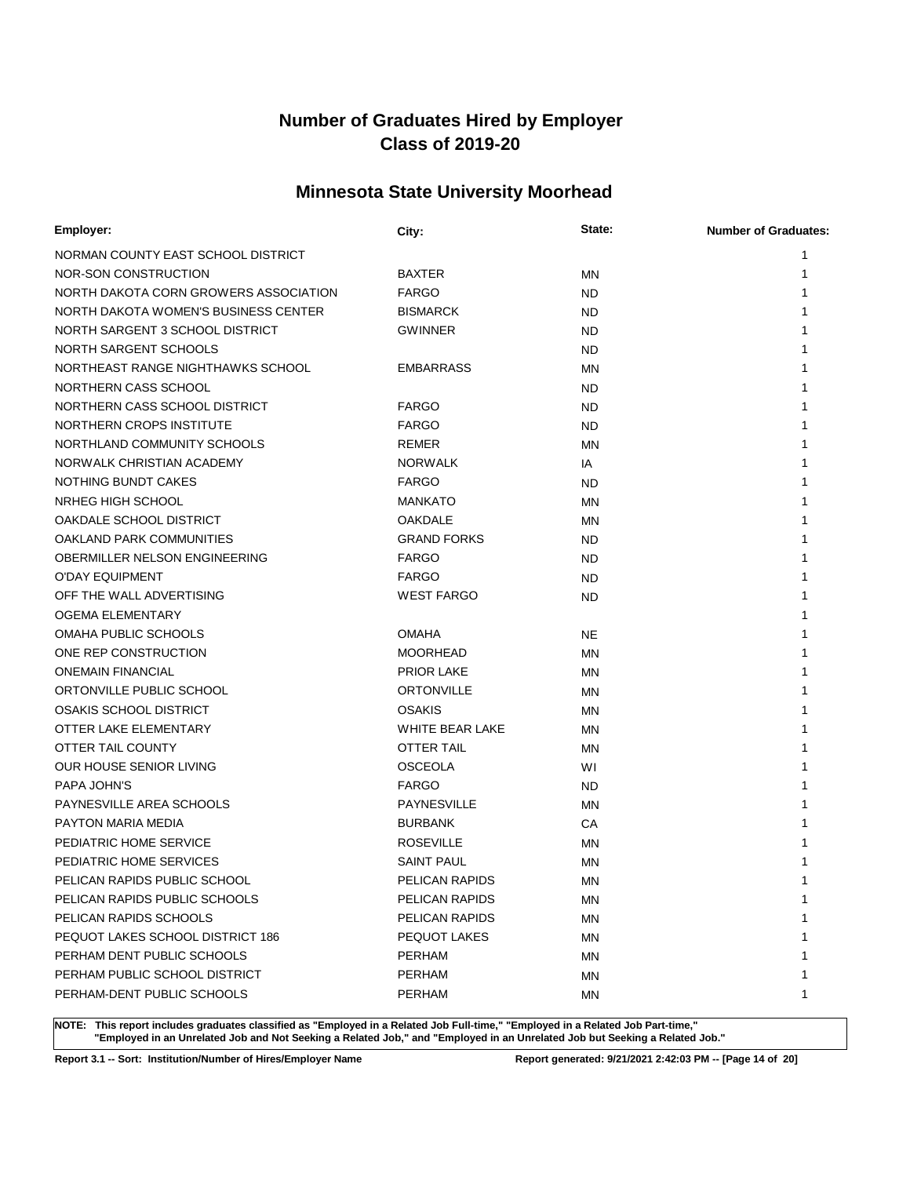## **Minnesota State University Moorhead**

| <b>Employer:</b>                      | City:              | State:    | <b>Number of Graduates:</b> |
|---------------------------------------|--------------------|-----------|-----------------------------|
| NORMAN COUNTY EAST SCHOOL DISTRICT    |                    |           | 1                           |
| NOR-SON CONSTRUCTION                  | BAXTER             | <b>MN</b> | 1                           |
| NORTH DAKOTA CORN GROWERS ASSOCIATION | <b>FARGO</b>       | <b>ND</b> | 1                           |
| NORTH DAKOTA WOMEN'S BUSINESS CENTER  | <b>BISMARCK</b>    | <b>ND</b> | 1                           |
| NORTH SARGENT 3 SCHOOL DISTRICT       | <b>GWINNER</b>     | <b>ND</b> | 1                           |
| NORTH SARGENT SCHOOLS                 |                    | <b>ND</b> | 1                           |
| NORTHEAST RANGE NIGHTHAWKS SCHOOL     | EMBARRASS          | <b>MN</b> |                             |
| NORTHERN CASS SCHOOL                  |                    | <b>ND</b> | 1                           |
| NORTHERN CASS SCHOOL DISTRICT         | <b>FARGO</b>       | <b>ND</b> | 1                           |
| NORTHERN CROPS INSTITUTE              | <b>FARGO</b>       | <b>ND</b> |                             |
| NORTHLAND COMMUNITY SCHOOLS           | REMER              | <b>MN</b> |                             |
| NORWALK CHRISTIAN ACADEMY             | <b>NORWALK</b>     | IA        | 1                           |
| NOTHING BUNDT CAKES                   | <b>FARGO</b>       | <b>ND</b> | 1                           |
| NRHEG HIGH SCHOOL                     | <b>MANKATO</b>     | <b>MN</b> | 1                           |
| OAKDALE SCHOOL DISTRICT               | OAKDALE            | ΜN        | 1                           |
| OAKLAND PARK COMMUNITIES              | <b>GRAND FORKS</b> | <b>ND</b> | 1                           |
| OBERMILLER NELSON ENGINEERING         | <b>FARGO</b>       | ND.       | 1                           |
| <b>O'DAY EQUIPMENT</b>                | <b>FARGO</b>       | ND        | 1                           |
| OFF THE WALL ADVERTISING              | <b>WEST FARGO</b>  | <b>ND</b> | 1                           |
| <b>OGEMA ELEMENTARY</b>               |                    |           | 1                           |
| OMAHA PUBLIC SCHOOLS                  | OMAHA              | <b>NE</b> | 1                           |
| ONE REP CONSTRUCTION                  | <b>MOORHEAD</b>    | <b>MN</b> | 1                           |
| <b>ONEMAIN FINANCIAL</b>              | <b>PRIOR LAKE</b>  | <b>MN</b> |                             |
| ORTONVILLE PUBLIC SCHOOL              | <b>ORTONVILLE</b>  | MN        | 1                           |
| <b>OSAKIS SCHOOL DISTRICT</b>         | OSAKIS             | MN        | 1                           |
| OTTER LAKE ELEMENTARY                 | WHITE BEAR LAKE    | ΜN        |                             |
| OTTER TAIL COUNTY                     | <b>OTTER TAIL</b>  | MN        | 1                           |
| OUR HOUSE SENIOR LIVING               | <b>OSCEOLA</b>     | WI        | 1                           |
| PAPA JOHN'S                           | <b>FARGO</b>       | ND        | 1                           |
| PAYNESVILLE AREA SCHOOLS              | <b>PAYNESVILLE</b> | MN        | 1                           |
| PAYTON MARIA MEDIA                    | <b>BURBANK</b>     | CA        | 1                           |
| PEDIATRIC HOME SERVICE                | <b>ROSEVILLE</b>   | ΜN        | 1                           |
| PEDIATRIC HOME SERVICES               | <b>SAINT PAUL</b>  | <b>MN</b> |                             |
| PELICAN RAPIDS PUBLIC SCHOOL          | PELICAN RAPIDS     | ΜN        |                             |
| PELICAN RAPIDS PUBLIC SCHOOLS         | PELICAN RAPIDS     | ΜN        | 1                           |
| PELICAN RAPIDS SCHOOLS                | PELICAN RAPIDS     | ΜN        | 1                           |
| PEQUOT LAKES SCHOOL DISTRICT 186      | PEQUOT LAKES       | <b>MN</b> | 1                           |
| PERHAM DENT PUBLIC SCHOOLS            | <b>PERHAM</b>      | MN        | 1                           |
| PERHAM PUBLIC SCHOOL DISTRICT         | <b>PERHAM</b>      | MN        | 1                           |
| PERHAM-DENT PUBLIC SCHOOLS            | <b>PERHAM</b>      | ΜN        | 1                           |

**NOTE: This report includes graduates classified as "Employed in a Related Job Full-time," "Employed in a Related Job Part-time," "Employed in an Unrelated Job and Not Seeking a Related Job," and "Employed in an Unrelated Job but Seeking a Related Job."**

**Report 3.1 -- Sort: Institution/Number of Hires/Employer Name Report generated: 9/21/2021 2:42:03 PM -- [Page 14 of 20]**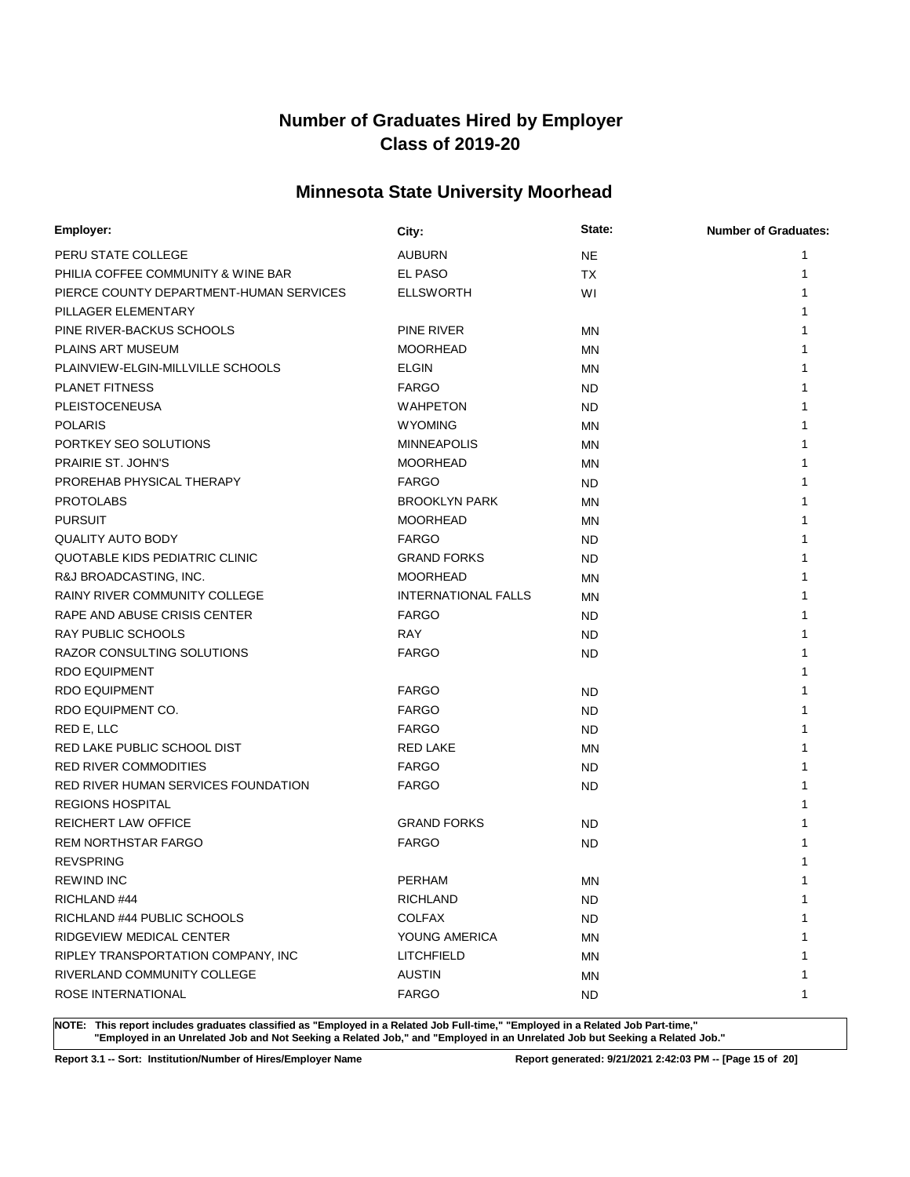## **Minnesota State University Moorhead**

| Employer:                               | City:                      | State:    | <b>Number of Graduates:</b> |
|-----------------------------------------|----------------------------|-----------|-----------------------------|
| PERU STATE COLLEGE                      | <b>AUBURN</b>              | <b>NE</b> | 1                           |
| PHILIA COFFEE COMMUNITY & WINE BAR      | EL PASO                    | <b>TX</b> | 1                           |
| PIERCE COUNTY DEPARTMENT-HUMAN SERVICES | <b>ELLSWORTH</b>           | WI        | 1                           |
| PILLAGER ELEMENTARY                     |                            |           |                             |
| PINE RIVER-BACKUS SCHOOLS               | PINE RIVER                 | ΜN        |                             |
| <b>PLAINS ART MUSEUM</b>                | <b>MOORHEAD</b>            | ΜN        | 1                           |
| PLAINVIEW-ELGIN-MILLVILLE SCHOOLS       | <b>ELGIN</b>               | ΜN        | 1                           |
| <b>PLANET FITNESS</b>                   | <b>FARGO</b>               | ND.       | 1                           |
| <b>PLEISTOCENEUSA</b>                   | <b>WAHPETON</b>            | ND.       | 1                           |
| <b>POLARIS</b>                          | <b>WYOMING</b>             | ΜN        |                             |
| PORTKEY SEO SOLUTIONS                   | <b>MINNEAPOLIS</b>         | ΜN        |                             |
| PRAIRIE ST. JOHN'S                      | <b>MOORHEAD</b>            | ΜN        |                             |
| PROREHAB PHYSICAL THERAPY               | <b>FARGO</b>               | ND.       |                             |
| <b>PROTOLABS</b>                        | <b>BROOKLYN PARK</b>       | ΜN        | 1                           |
| <b>PURSUIT</b>                          | <b>MOORHEAD</b>            | ΜN        | 1                           |
| <b>QUALITY AUTO BODY</b>                | <b>FARGO</b>               | ND.       | 1                           |
| QUOTABLE KIDS PEDIATRIC CLINIC          | <b>GRAND FORKS</b>         | ND.       | 1                           |
| R&J BROADCASTING, INC.                  | <b>MOORHEAD</b>            | MN        | 1                           |
| <b>RAINY RIVER COMMUNITY COLLEGE</b>    | <b>INTERNATIONAL FALLS</b> | ΜN        | 1                           |
| RAPE AND ABUSE CRISIS CENTER            | <b>FARGO</b>               | ND.       | 1                           |
| <b>RAY PUBLIC SCHOOLS</b>               | RAY                        | ND.       | 1                           |
| RAZOR CONSULTING SOLUTIONS              | <b>FARGO</b>               | ND        | 1                           |
| <b>RDO EQUIPMENT</b>                    |                            |           | 1                           |
| <b>RDO EQUIPMENT</b>                    | <b>FARGO</b>               | ND.       | 1                           |
| RDO EQUIPMENT CO.                       | <b>FARGO</b>               | ND.       | 1                           |
| RED E, LLC                              | <b>FARGO</b>               | <b>ND</b> | 1                           |
| RED LAKE PUBLIC SCHOOL DIST             | <b>RED LAKE</b>            | ΜN        | 1                           |
| <b>RED RIVER COMMODITIES</b>            | <b>FARGO</b>               | ND.       | 1                           |
| RED RIVER HUMAN SERVICES FOUNDATION     | <b>FARGO</b>               | ND.       | 1                           |
| <b>REGIONS HOSPITAL</b>                 |                            |           | 1                           |
| <b>REICHERT LAW OFFICE</b>              | <b>GRAND FORKS</b>         | ND.       | 1                           |
| <b>REM NORTHSTAR FARGO</b>              | <b>FARGO</b>               | ND.       | 1                           |
| <b>REVSPRING</b>                        |                            |           | 1                           |
| <b>REWIND INC</b>                       | <b>PERHAM</b>              | ΜN        | 1                           |
| RICHLAND #44                            | RICHLAND                   | <b>ND</b> | 1                           |
| RICHLAND #44 PUBLIC SCHOOLS             | <b>COLFAX</b>              | ND.       | 1                           |
| RIDGEVIEW MEDICAL CENTER                | YOUNG AMERICA              | ΜN        | 1                           |
| RIPLEY TRANSPORTATION COMPANY, INC      | <b>LITCHFIELD</b>          | ΜN        | 1                           |
| RIVERLAND COMMUNITY COLLEGE             | <b>AUSTIN</b>              | <b>MN</b> | 1                           |
| ROSE INTERNATIONAL                      | <b>FARGO</b>               | ND.       | 1                           |

**NOTE: This report includes graduates classified as "Employed in a Related Job Full-time," "Employed in a Related Job Part-time," "Employed in an Unrelated Job and Not Seeking a Related Job," and "Employed in an Unrelated Job but Seeking a Related Job."**

**Report 3.1 -- Sort: Institution/Number of Hires/Employer Name Report generated: 9/21/2021 2:42:03 PM -- [Page 15 of 20]**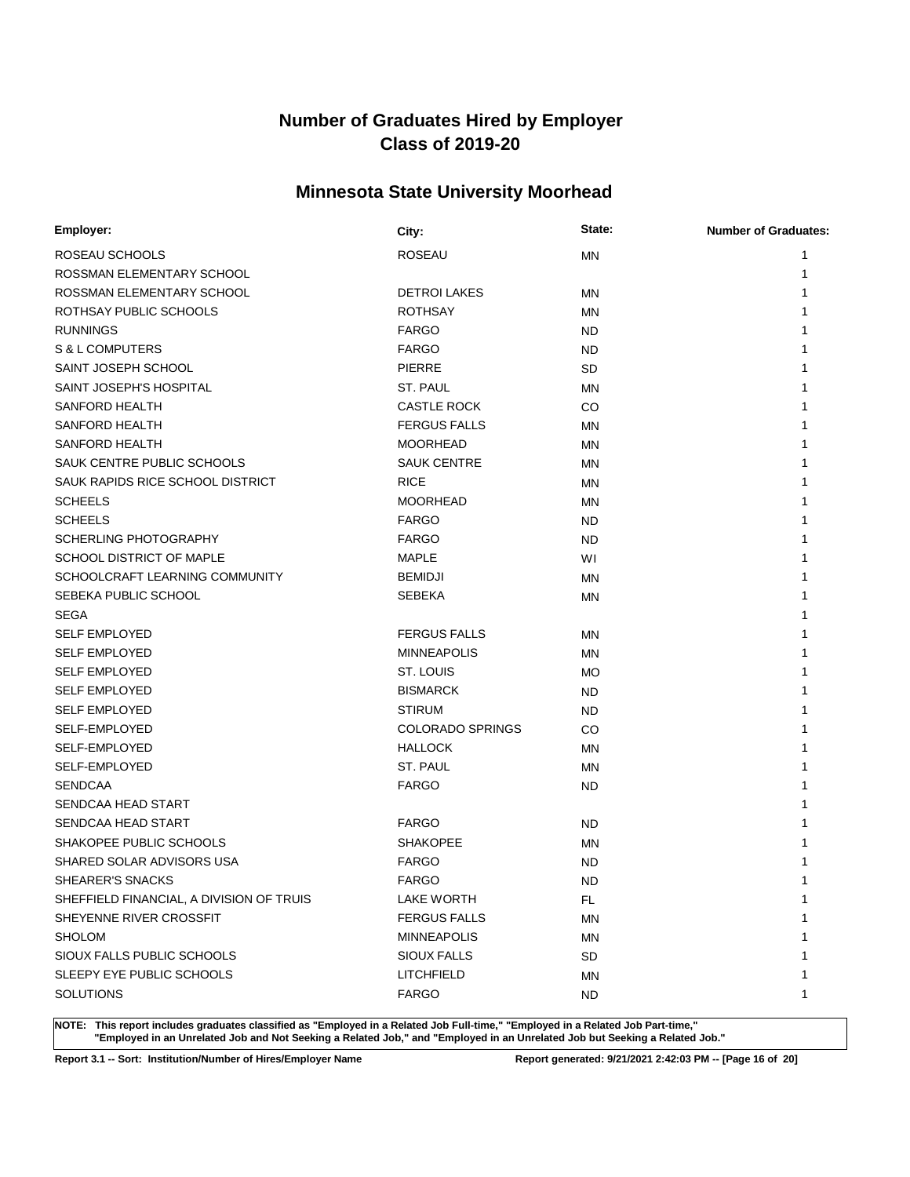## **Minnesota State University Moorhead**

| Employer:                                | City:                   | State:    | <b>Number of Graduates:</b> |
|------------------------------------------|-------------------------|-----------|-----------------------------|
| ROSEAU SCHOOLS                           | <b>ROSEAU</b>           | <b>MN</b> | 1                           |
| ROSSMAN ELEMENTARY SCHOOL                |                         |           | 1                           |
| ROSSMAN ELEMENTARY SCHOOL                | <b>DETROI LAKES</b>     | ΜN        | 1                           |
| ROTHSAY PUBLIC SCHOOLS                   | <b>ROTHSAY</b>          | ΜN        | 1                           |
| <b>RUNNINGS</b>                          | <b>FARGO</b>            | <b>ND</b> |                             |
| S & L COMPUTERS                          | <b>FARGO</b>            | <b>ND</b> | 1                           |
| SAINT JOSEPH SCHOOL                      | <b>PIERRE</b>           | <b>SD</b> | 1                           |
| SAINT JOSEPH'S HOSPITAL                  | ST. PAUL                | ΜN        | 1                           |
| <b>SANFORD HEALTH</b>                    | <b>CASTLE ROCK</b>      | CO        |                             |
| SANFORD HEALTH                           | <b>FERGUS FALLS</b>     | ΜN        |                             |
| SANFORD HEALTH                           | <b>MOORHEAD</b>         | ΜN        |                             |
| SAUK CENTRE PUBLIC SCHOOLS               | <b>SAUK CENTRE</b>      | ΜN        |                             |
| SAUK RAPIDS RICE SCHOOL DISTRICT         | <b>RICE</b>             | ΜN        | 1                           |
| <b>SCHEELS</b>                           | <b>MOORHEAD</b>         | ΜN        | 1                           |
| <b>SCHEELS</b>                           | <b>FARGO</b>            | ND        | 1                           |
| <b>SCHERLING PHOTOGRAPHY</b>             | <b>FARGO</b>            | ND        | 1                           |
| <b>SCHOOL DISTRICT OF MAPLE</b>          | <b>MAPLE</b>            | W١        | 1                           |
| SCHOOLCRAFT LEARNING COMMUNITY           | <b>BEMIDJI</b>          | ΜN        | 1                           |
| SEBEKA PUBLIC SCHOOL                     | <b>SEBEKA</b>           | ΜN        | 1                           |
| <b>SEGA</b>                              |                         |           | 1                           |
| <b>SELF EMPLOYED</b>                     | <b>FERGUS FALLS</b>     | ΜN        | 1                           |
| <b>SELF EMPLOYED</b>                     | <b>MINNEAPOLIS</b>      | MN        | 1                           |
| <b>SELF EMPLOYED</b>                     | ST. LOUIS               | МO        | 1                           |
| <b>SELF EMPLOYED</b>                     | <b>BISMARCK</b>         | ND        | 1                           |
| <b>SELF EMPLOYED</b>                     | <b>STIRUM</b>           | ND        | 1                           |
| SELF-EMPLOYED                            | <b>COLORADO SPRINGS</b> | CO.       | 1                           |
| <b>SELF-EMPLOYED</b>                     | <b>HALLOCK</b>          | ΜN        | 1                           |
| SELF-EMPLOYED                            | ST. PAUL                | ΜN        | 1                           |
| <b>SENDCAA</b>                           | <b>FARGO</b>            | <b>ND</b> | 1                           |
| SENDCAA HEAD START                       |                         |           | 1                           |
| SENDCAA HEAD START                       | <b>FARGO</b>            | <b>ND</b> |                             |
| SHAKOPEE PUBLIC SCHOOLS                  | <b>SHAKOPEE</b>         | <b>MN</b> |                             |
| SHARED SOLAR ADVISORS USA                | <b>FARGO</b>            | ND        | 1                           |
| SHEARER'S SNACKS                         | <b>FARGO</b>            | <b>ND</b> | 1                           |
| SHEFFIELD FINANCIAL, A DIVISION OF TRUIS | LAKE WORTH              | FL        | 1                           |
| SHEYENNE RIVER CROSSFIT                  | <b>FERGUS FALLS</b>     | <b>MN</b> | 1                           |
| <b>SHOLOM</b>                            | <b>MINNEAPOLIS</b>      | ΜN        | 1                           |
| SIOUX FALLS PUBLIC SCHOOLS               | <b>SIOUX FALLS</b>      | <b>SD</b> | 1                           |
| SLEEPY EYE PUBLIC SCHOOLS                | LITCHFIELD              | ΜN        | 1                           |
| <b>SOLUTIONS</b>                         | <b>FARGO</b>            | <b>ND</b> | 1                           |

**NOTE: This report includes graduates classified as "Employed in a Related Job Full-time," "Employed in a Related Job Part-time," "Employed in an Unrelated Job and Not Seeking a Related Job," and "Employed in an Unrelated Job but Seeking a Related Job."**

**Report 3.1 -- Sort: Institution/Number of Hires/Employer Name Report generated: 9/21/2021 2:42:03 PM -- [Page 16 of 20]**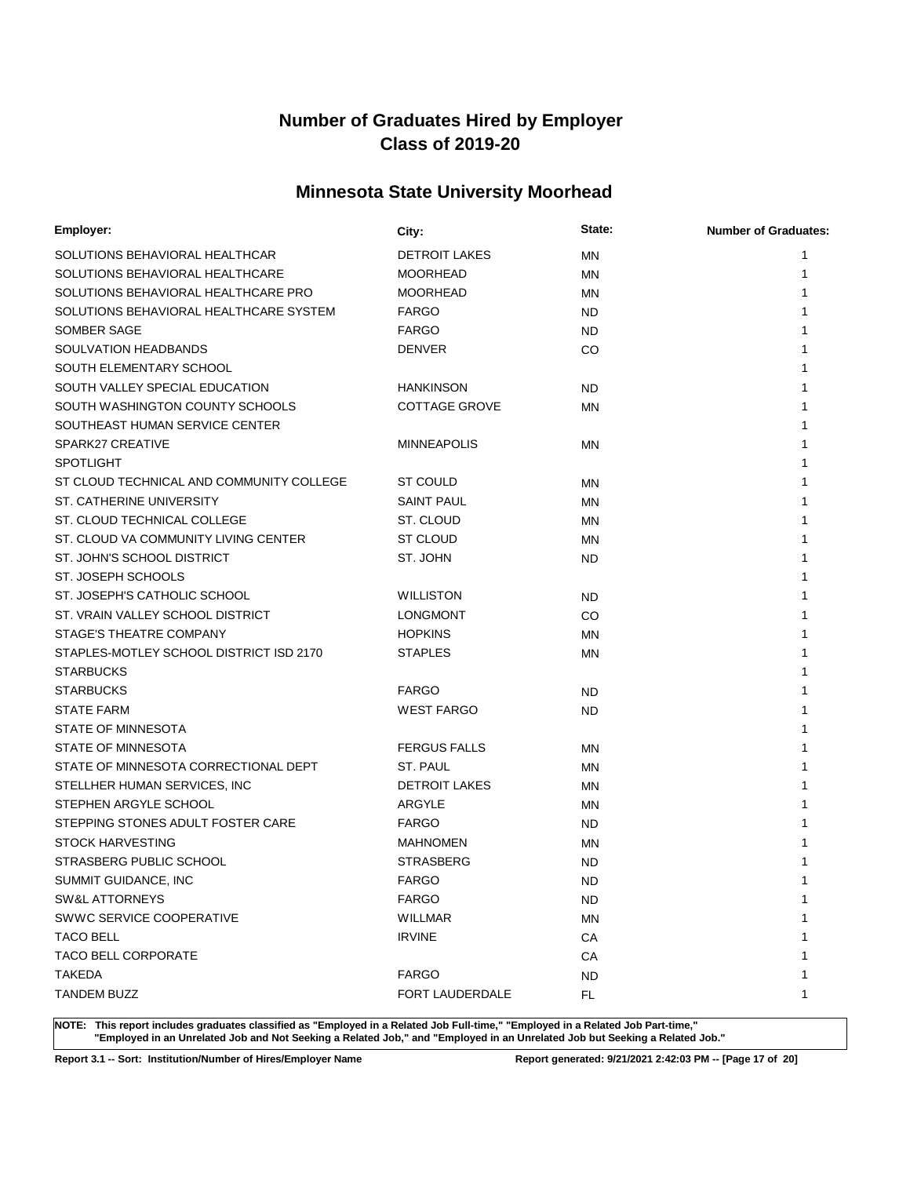## **Minnesota State University Moorhead**

| Employer:                                | City:                | State:    | <b>Number of Graduates:</b> |
|------------------------------------------|----------------------|-----------|-----------------------------|
| SOLUTIONS BEHAVIORAL HEALTHCAR           | <b>DETROIT LAKES</b> | ΜN        | 1                           |
| SOLUTIONS BEHAVIORAL HEALTHCARE          | <b>MOORHEAD</b>      | ΜN        | 1                           |
| SOLUTIONS BEHAVIORAL HEALTHCARE PRO      | <b>MOORHEAD</b>      | ΜN        | 1                           |
| SOLUTIONS BEHAVIORAL HEALTHCARE SYSTEM   | <b>FARGO</b>         | <b>ND</b> | 1                           |
| SOMBER SAGE                              | <b>FARGO</b>         | ND.       | 1                           |
| SOULVATION HEADBANDS                     | <b>DENVER</b>        | CO.       | 1                           |
| SOUTH ELEMENTARY SCHOOL                  |                      |           | 1                           |
| SOUTH VALLEY SPECIAL EDUCATION           | <b>HANKINSON</b>     | <b>ND</b> |                             |
| SOUTH WASHINGTON COUNTY SCHOOLS          | <b>COTTAGE GROVE</b> | ΜN        | 1                           |
| SOUTHEAST HUMAN SERVICE CENTER           |                      |           | 1                           |
| SPARK27 CREATIVE                         | <b>MINNEAPOLIS</b>   | ΜN        | 1                           |
| <b>SPOTLIGHT</b>                         |                      |           | 1                           |
| ST CLOUD TECHNICAL AND COMMUNITY COLLEGE | ST COULD             | ΜN        | 1                           |
| ST. CATHERINE UNIVERSITY                 | SAINT PAUL           | ΜN        | 1                           |
| ST. CLOUD TECHNICAL COLLEGE              | ST. CLOUD            | ΜN        | 1                           |
| ST. CLOUD VA COMMUNITY LIVING CENTER     | <b>ST CLOUD</b>      | ΜN        | 1                           |
| ST. JOHN'S SCHOOL DISTRICT               | ST. JOHN             | ND        | 1                           |
| ST. JOSEPH SCHOOLS                       |                      |           | 1                           |
| ST. JOSEPH'S CATHOLIC SCHOOL             | <b>WILLISTON</b>     | ND.       | 1                           |
| ST. VRAIN VALLEY SCHOOL DISTRICT         | <b>LONGMONT</b>      | CO        | 1                           |
| STAGE'S THEATRE COMPANY                  | <b>HOPKINS</b>       | ΜN        | 1                           |
| STAPLES-MOTLEY SCHOOL DISTRICT ISD 2170  | <b>STAPLES</b>       | ΜN        |                             |
| <b>STARBUCKS</b>                         |                      |           |                             |
| <b>STARBUCKS</b>                         | <b>FARGO</b>         | <b>ND</b> |                             |
| <b>STATE FARM</b>                        | <b>WEST FARGO</b>    | <b>ND</b> |                             |
| STATE OF MINNESOTA                       |                      |           |                             |
| STATE OF MINNESOTA                       | <b>FERGUS FALLS</b>  | ΜN        | 1                           |
| STATE OF MINNESOTA CORRECTIONAL DEPT     | ST. PAUL             | ΜN        |                             |
| STELLHER HUMAN SERVICES, INC             | <b>DETROIT LAKES</b> | ΜN        |                             |
| STEPHEN ARGYLE SCHOOL                    | ARGYLE               | ΜN        |                             |
| STEPPING STONES ADULT FOSTER CARE        | <b>FARGO</b>         | ND        |                             |
| <b>STOCK HARVESTING</b>                  | <b>MAHNOMEN</b>      | ΜN        |                             |
| STRASBERG PUBLIC SCHOOL                  | <b>STRASBERG</b>     | <b>ND</b> |                             |
| SUMMIT GUIDANCE, INC                     | FARGO                | <b>ND</b> | 1                           |
| SW&L ATTORNEYS                           | <b>FARGO</b>         | ND        | 1                           |
| SWWC SERVICE COOPERATIVE                 | <b>WILLMAR</b>       | MN        |                             |
| <b>TACO BELL</b>                         | <b>IRVINE</b>        | CA        |                             |
| TACO BELL CORPORATE                      |                      | CA        |                             |
| <b>TAKEDA</b>                            | <b>FARGO</b>         | <b>ND</b> | 1                           |
| <b>TANDEM BUZZ</b>                       | FORT LAUDERDALE      | FL        | 1                           |

**NOTE: This report includes graduates classified as "Employed in a Related Job Full-time," "Employed in a Related Job Part-time," "Employed in an Unrelated Job and Not Seeking a Related Job," and "Employed in an Unrelated Job but Seeking a Related Job."**

**Report 3.1 -- Sort: Institution/Number of Hires/Employer Name Report generated: 9/21/2021 2:42:03 PM -- [Page 17 of 20]**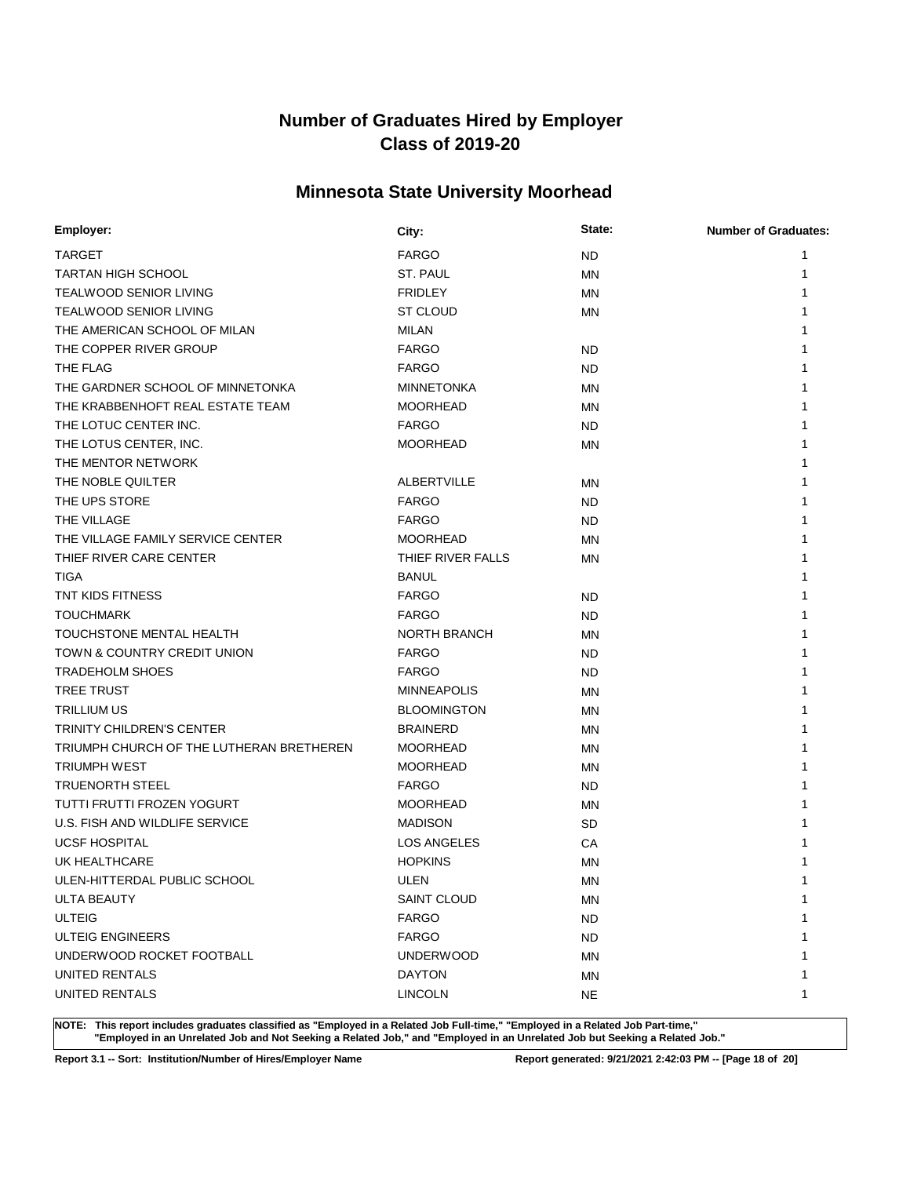## **Minnesota State University Moorhead**

| Employer:                                | City:               | State:    | <b>Number of Graduates:</b> |
|------------------------------------------|---------------------|-----------|-----------------------------|
| <b>TARGET</b>                            | <b>FARGO</b>        | <b>ND</b> | 1                           |
| <b>TARTAN HIGH SCHOOL</b>                | ST. PAUL            | <b>MN</b> | 1                           |
| <b>TEALWOOD SENIOR LIVING</b>            | <b>FRIDLEY</b>      | MN        | 1                           |
| <b>TEALWOOD SENIOR LIVING</b>            | <b>ST CLOUD</b>     | ΜN        |                             |
| THE AMERICAN SCHOOL OF MILAN             | <b>MILAN</b>        |           |                             |
| THE COPPER RIVER GROUP                   | <b>FARGO</b>        | <b>ND</b> | 1                           |
| THE FLAG                                 | <b>FARGO</b>        | <b>ND</b> | 1                           |
| THE GARDNER SCHOOL OF MINNETONKA         | <b>MINNETONKA</b>   | ΜN        | 1                           |
| THE KRABBENHOFT REAL ESTATE TEAM         | <b>MOORHEAD</b>     | MN        | 1                           |
| THE LOTUC CENTER INC.                    | <b>FARGO</b>        | <b>ND</b> | 1                           |
| THE LOTUS CENTER, INC.                   | <b>MOORHEAD</b>     | ΜN        | 1                           |
| THE MENTOR NETWORK                       |                     |           | 1                           |
| THE NOBLE QUILTER                        | <b>ALBERTVILLE</b>  | MN        | 1                           |
| THE UPS STORE                            | <b>FARGO</b>        | <b>ND</b> | 1                           |
| THE VILLAGE                              | <b>FARGO</b>        | <b>ND</b> | 1                           |
| THE VILLAGE FAMILY SERVICE CENTER        | <b>MOORHEAD</b>     | MN        | 1                           |
| THIEF RIVER CARE CENTER                  | THIEF RIVER FALLS   | MN        | 1                           |
| <b>TIGA</b>                              | <b>BANUL</b>        |           | 1                           |
| TNT KIDS FITNESS                         | <b>FARGO</b>        | <b>ND</b> | 1                           |
| <b>TOUCHMARK</b>                         | <b>FARGO</b>        | <b>ND</b> | 1                           |
| TOUCHSTONE MENTAL HEALTH                 | <b>NORTH BRANCH</b> | MN        | 1                           |
| TOWN & COUNTRY CREDIT UNION              | <b>FARGO</b>        | <b>ND</b> | 1                           |
| <b>TRADEHOLM SHOES</b>                   | <b>FARGO</b>        | <b>ND</b> | 1                           |
| TREE TRUST                               | <b>MINNEAPOLIS</b>  | MN        | 1                           |
| <b>TRILLIUM US</b>                       | <b>BLOOMINGTON</b>  | MN        | 1                           |
| TRINITY CHILDREN'S CENTER                | <b>BRAINERD</b>     | MN        | 1                           |
| TRIUMPH CHURCH OF THE LUTHERAN BRETHEREN | <b>MOORHEAD</b>     | MN        | 1                           |
| <b>TRIUMPH WEST</b>                      | <b>MOORHEAD</b>     | ΜN        |                             |
| <b>TRUENORTH STEEL</b>                   | <b>FARGO</b>        | ND.       | 1                           |
| TUTTI FRUTTI FROZEN YOGURT               | <b>MOORHEAD</b>     | ΜN        | 1                           |
| U.S. FISH AND WILDLIFE SERVICE           | <b>MADISON</b>      | <b>SD</b> | 1                           |
| <b>UCSF HOSPITAL</b>                     | <b>LOS ANGELES</b>  | СA        |                             |
| UK HEALTHCARE                            | <b>HOPKINS</b>      | MN        |                             |
| ULEN-HITTERDAL PUBLIC SCHOOL             | <b>ULEN</b>         | <b>MN</b> | 1                           |
| <b>ULTA BEAUTY</b>                       | SAINT CLOUD         | MN        | 1                           |
| <b>ULTEIG</b>                            | <b>FARGO</b>        | <b>ND</b> | 1                           |
| <b>ULTEIG ENGINEERS</b>                  | <b>FARGO</b>        | ND.       | 1                           |
| UNDERWOOD ROCKET FOOTBALL                | <b>UNDERWOOD</b>    | ΜN        | 1                           |
| UNITED RENTALS                           | <b>DAYTON</b>       | MN        | 1                           |
| UNITED RENTALS                           | <b>LINCOLN</b>      | <b>NE</b> | 1                           |

**NOTE: This report includes graduates classified as "Employed in a Related Job Full-time," "Employed in a Related Job Part-time," "Employed in an Unrelated Job and Not Seeking a Related Job," and "Employed in an Unrelated Job but Seeking a Related Job."**

**Report 3.1 -- Sort: Institution/Number of Hires/Employer Name Report generated: 9/21/2021 2:42:03 PM -- [Page 18 of 20]**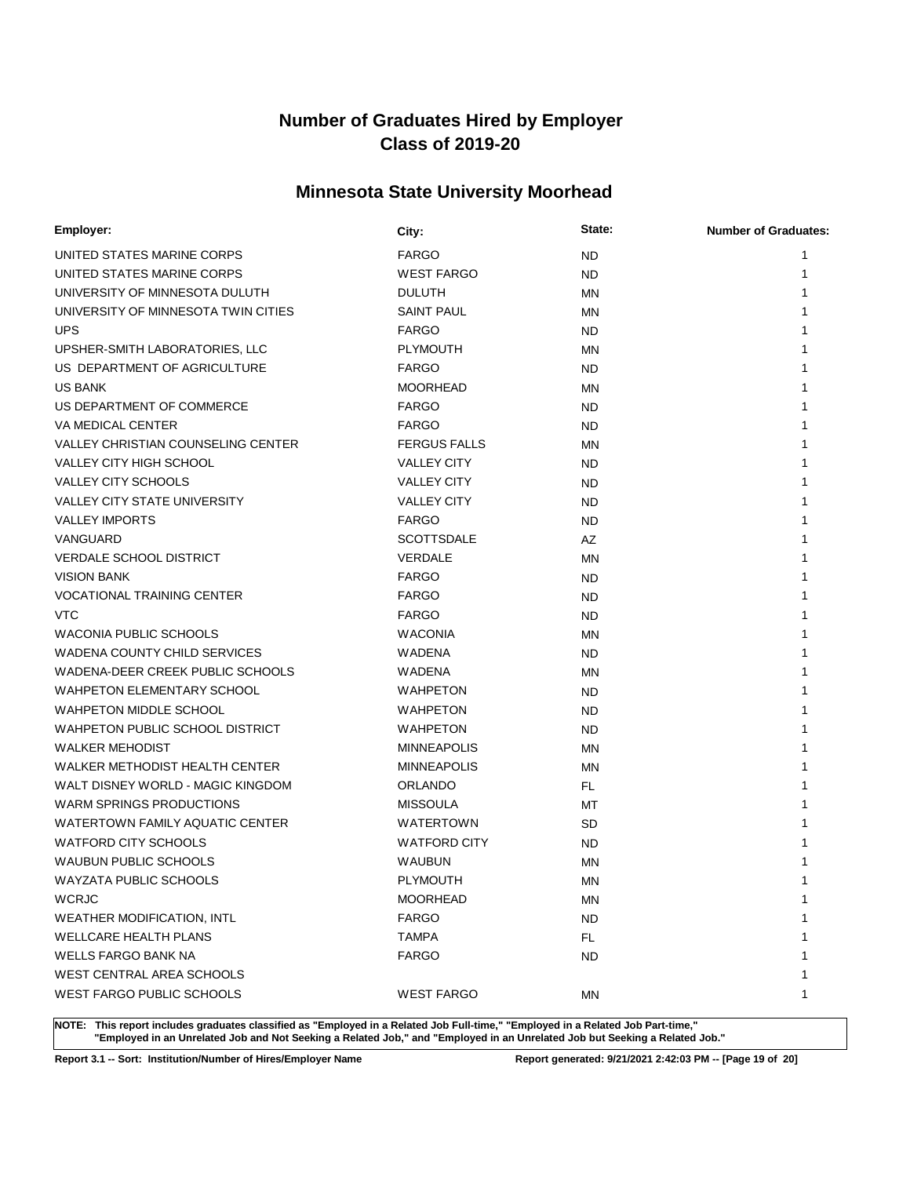## **Minnesota State University Moorhead**

| Employer:                                 | City:               | State:    | <b>Number of Graduates:</b> |
|-------------------------------------------|---------------------|-----------|-----------------------------|
| UNITED STATES MARINE CORPS                | <b>FARGO</b>        | <b>ND</b> | 1                           |
| UNITED STATES MARINE CORPS                | <b>WEST FARGO</b>   | <b>ND</b> | 1                           |
| UNIVERSITY OF MINNESOTA DULUTH            | <b>DULUTH</b>       | MN        | 1                           |
| UNIVERSITY OF MINNESOTA TWIN CITIES       | <b>SAINT PAUL</b>   | ΜN        | 1                           |
| <b>UPS</b>                                | <b>FARGO</b>        | <b>ND</b> | 1                           |
| UPSHER-SMITH LABORATORIES, LLC            | <b>PLYMOUTH</b>     | ΜN        | 1                           |
| US DEPARTMENT OF AGRICULTURE              | <b>FARGO</b>        | ND.       | 1                           |
| <b>US BANK</b>                            | <b>MOORHEAD</b>     | MN        | 1                           |
| US DEPARTMENT OF COMMERCE                 | <b>FARGO</b>        | <b>ND</b> | 1                           |
| VA MEDICAL CENTER                         | <b>FARGO</b>        | <b>ND</b> | 1                           |
| <b>VALLEY CHRISTIAN COUNSELING CENTER</b> | <b>FERGUS FALLS</b> | MN        | 1                           |
| VALLEY CITY HIGH SCHOOL                   | <b>VALLEY CITY</b>  | <b>ND</b> | 1                           |
| <b>VALLEY CITY SCHOOLS</b>                | <b>VALLEY CITY</b>  | <b>ND</b> | 1                           |
| VALLEY CITY STATE UNIVERSITY              | <b>VALLEY CITY</b>  | <b>ND</b> |                             |
| <b>VALLEY IMPORTS</b>                     | <b>FARGO</b>        | <b>ND</b> |                             |
| VANGUARD                                  | <b>SCOTTSDALE</b>   | AZ        | 1                           |
| <b>VERDALE SCHOOL DISTRICT</b>            | <b>VERDALE</b>      | MN        | 1                           |
| <b>VISION BANK</b>                        | <b>FARGO</b>        | <b>ND</b> |                             |
| <b>VOCATIONAL TRAINING CENTER</b>         | <b>FARGO</b>        | <b>ND</b> | 1                           |
| <b>VTC</b>                                | <b>FARGO</b>        | <b>ND</b> | 1                           |
| <b>WACONIA PUBLIC SCHOOLS</b>             | <b>WACONIA</b>      | MN        | 1                           |
| <b>WADENA COUNTY CHILD SERVICES</b>       | <b>WADENA</b>       | ND.       | 1                           |
| WADENA-DEER CREEK PUBLIC SCHOOLS          | WADENA              | MN        | 1                           |
| <b>WAHPETON ELEMENTARY SCHOOL</b>         | <b>WAHPETON</b>     | <b>ND</b> | 1                           |
| <b>WAHPETON MIDDLE SCHOOL</b>             | <b>WAHPETON</b>     | <b>ND</b> | 1                           |
| WAHPETON PUBLIC SCHOOL DISTRICT           | <b>WAHPETON</b>     | <b>ND</b> | 1                           |
| <b>WALKER MEHODIST</b>                    | <b>MINNEAPOLIS</b>  | MN        | 1                           |
| WALKER METHODIST HEALTH CENTER            | <b>MINNEAPOLIS</b>  | ΜN        | 1                           |
| WALT DISNEY WORLD - MAGIC KINGDOM         | <b>ORLANDO</b>      | FL.       | 1                           |
| WARM SPRINGS PRODUCTIONS                  | <b>MISSOULA</b>     | МT        | 1                           |
| WATERTOWN FAMILY AQUATIC CENTER           | <b>WATERTOWN</b>    | <b>SD</b> | 1                           |
| <b>WATFORD CITY SCHOOLS</b>               | <b>WATFORD CITY</b> | <b>ND</b> | 1                           |
| WAUBUN PUBLIC SCHOOLS                     | WAUBUN              | <b>MN</b> | 1                           |
| WAYZATA PUBLIC SCHOOLS                    | PLYMOUTH            | <b>MN</b> |                             |
| <b>WCRJC</b>                              | <b>MOORHEAD</b>     | MN        | 1                           |
| WEATHER MODIFICATION, INTL                | <b>FARGO</b>        | <b>ND</b> | 1                           |
| <b>WELLCARE HEALTH PLANS</b>              | <b>TAMPA</b>        | FL.       | 1                           |
| WELLS FARGO BANK NA                       | <b>FARGO</b>        | <b>ND</b> | 1                           |
| WEST CENTRAL AREA SCHOOLS                 |                     |           | 1                           |
| WEST FARGO PUBLIC SCHOOLS                 | <b>WEST FARGO</b>   | ΜN        | 1                           |

**NOTE: This report includes graduates classified as "Employed in a Related Job Full-time," "Employed in a Related Job Part-time," "Employed in an Unrelated Job and Not Seeking a Related Job," and "Employed in an Unrelated Job but Seeking a Related Job."**

**Report 3.1 -- Sort: Institution/Number of Hires/Employer Name Report generated: 9/21/2021 2:42:03 PM -- [Page 19 of 20]**